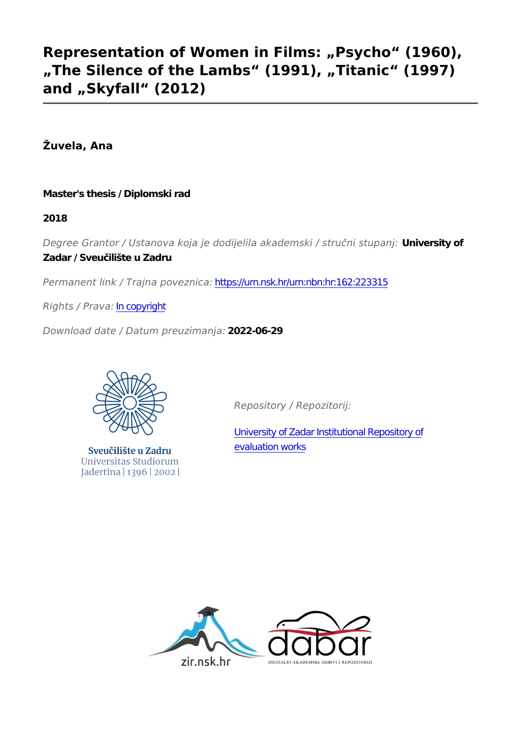# Representation of Women in Films: "Psycho" (1960), "The Silence of the Lambs" (1991), "Titanic" (1997) and "Skyfall" (2012)

**Žuvela, Ana**

**Master's thesis / Diplomski rad**

**2018**

*Degree Grantor / Ustanova koja je dodijelila akademski / stručni stupanj:* **University of Zadar / Sveučilište u Zadru**

*Permanent link / Trajna poveznica:* <https://urn.nsk.hr/urn:nbn:hr:162:223315>

*Rights / Prava:* [In copyright](http://rightsstatements.org/vocab/InC/1.0/)

*Download date / Datum preuzimanja:* **2022-06-29**



Sveučilište u Zadru Universitas Studiorum Jadertina | 1396 | 2002 | *Repository / Repozitorij:*

[University of Zadar Institutional Repository of](https://repozitorij.unizd.hr) [evaluation works](https://repozitorij.unizd.hr)

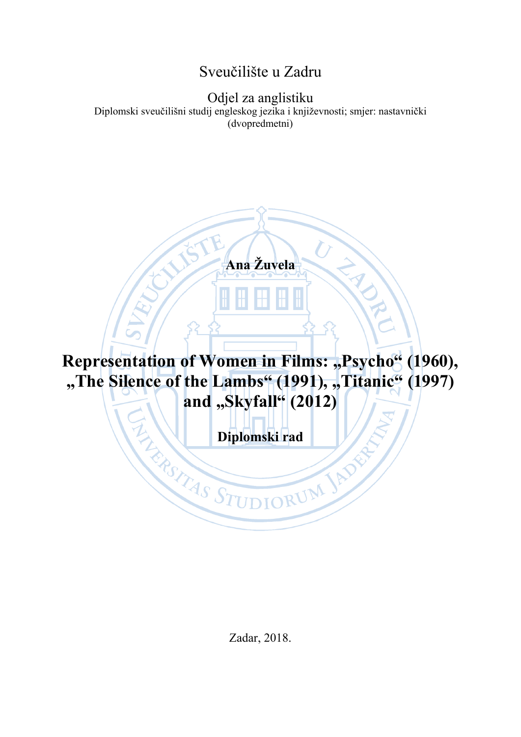# Sveučilište u Zadru

Odjel za anglistiku Diplomski sveučilišni studij engleskog jezika i književnosti; smjer: nastavnički (dvopredmetni)

**Ana Žuvela**

Representation of Women in Films: "Psycho" (1960), "The Silence of the Lambs" (1991), "Titanic" (1997) **and , Skyfall**" (2012)

**Diplomski rad**<br>Read AS STUDIORUM JAPE

Zadar, 2018.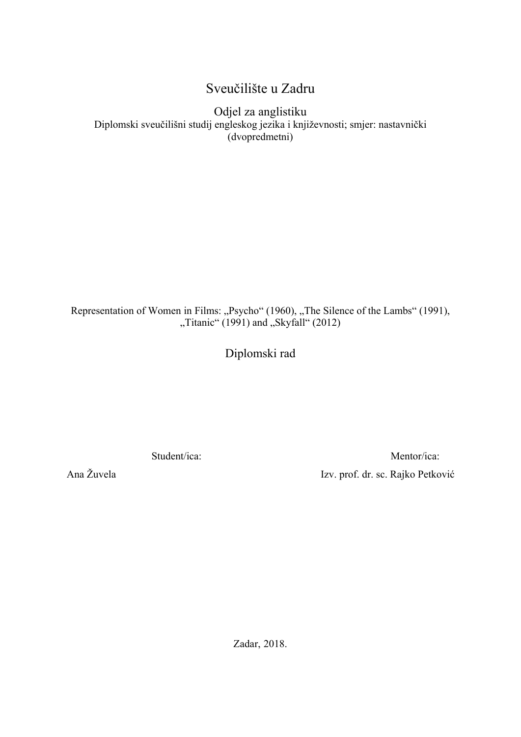## Sveučilište u Zadru

Odjel za anglistiku Diplomski sveučilišni studij engleskog jezika i književnosti; smjer: nastavnički (dvopredmetni)

Representation of Women in Films: "Psycho" (1960), "The Silence of the Lambs" (1991), "Titanic" (1991) and "Skyfall" (2012)

Diplomski rad

Student/ica:

Ana Žuvela

Mentor/ica: Izv. prof. dr. sc. Rajko Petković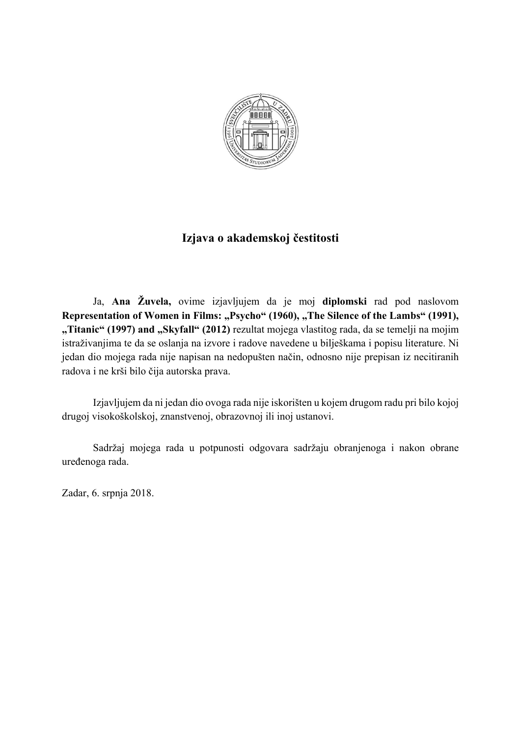

### **Izjava o akademskoj čestitosti**

Ja, **Ana Žuvela,** ovime izjavljujem da je moj **diplomski** rad pod naslovom Representation of Women in Films: "Psycho" (1960), "The Silence of the Lambs" (1991), "Titanic" (1997) and "Skyfall" (2012) rezultat mojega vlastitog rada, da se temelji na mojim istraživanjima te da se oslanja na izvore i radove navedene u bilješkama i popisu literature. Ni jedan dio mojega rada nije napisan na nedopušten način, odnosno nije prepisan iz necitiranih radova i ne krši bilo čija autorska prava.

Izjavljujem da ni jedan dio ovoga rada nije iskorišten u kojem drugom radu pri bilo kojoj drugoj visokoškolskoj, znanstvenoj, obrazovnoj ili inoj ustanovi.

Sadržaj mojega rada u potpunosti odgovara sadržaju obranjenoga i nakon obrane uređenoga rada.

Zadar, 6. srpnja 2018.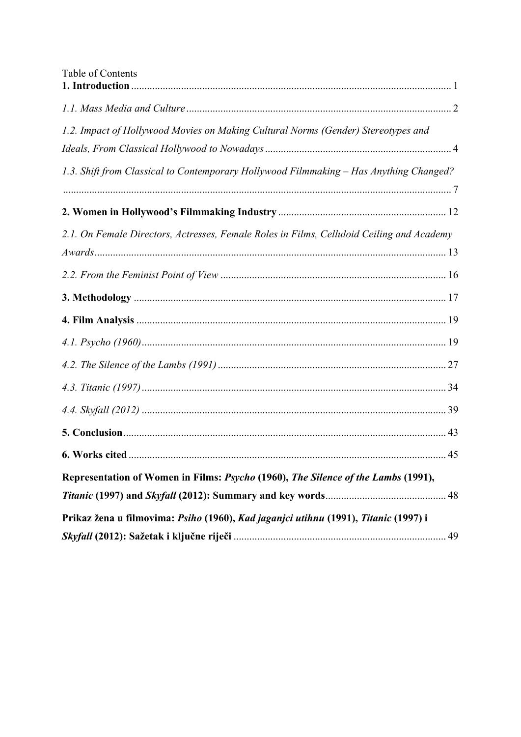| Table of Contents                                                                         |  |
|-------------------------------------------------------------------------------------------|--|
|                                                                                           |  |
| 1.2. Impact of Hollywood Movies on Making Cultural Norms (Gender) Stereotypes and         |  |
|                                                                                           |  |
| 1.3. Shift from Classical to Contemporary Hollywood Filmmaking - Has Anything Changed?    |  |
|                                                                                           |  |
|                                                                                           |  |
| 2.1. On Female Directors, Actresses, Female Roles in Films, Celluloid Ceiling and Academy |  |
|                                                                                           |  |
|                                                                                           |  |
|                                                                                           |  |
|                                                                                           |  |
|                                                                                           |  |
|                                                                                           |  |
|                                                                                           |  |
|                                                                                           |  |
|                                                                                           |  |
|                                                                                           |  |
| Representation of Women in Films: Psycho (1960), The Silence of the Lambs (1991),         |  |
|                                                                                           |  |
| Prikaz žena u filmovima: Psiho (1960), Kad jaganjci utihnu (1991), Titanic (1997) i       |  |
|                                                                                           |  |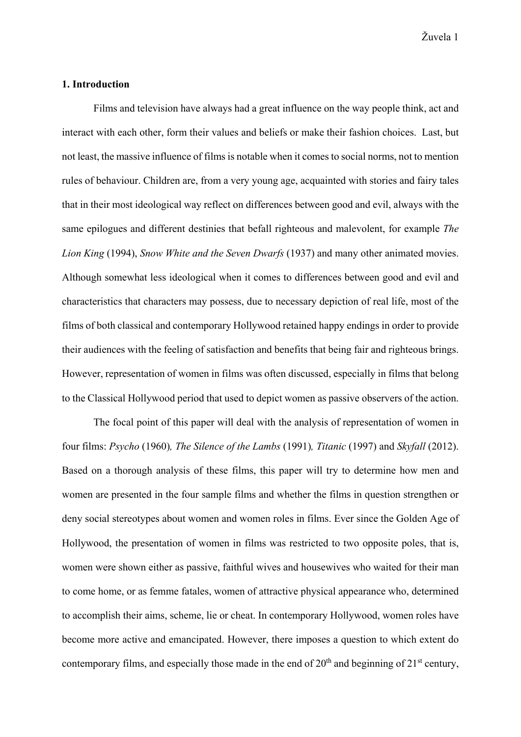### **1. Introduction**

Films and television have always had a great influence on the way people think, act and interact with each other, form their values and beliefs or make their fashion choices. Last, but not least, the massive influence of films is notable when it comes to social norms, not to mention rules of behaviour. Children are, from a very young age, acquainted with stories and fairy tales that in their most ideological way reflect on differences between good and evil, always with the same epilogues and different destinies that befall righteous and malevolent, for example *The Lion King* (1994), *Snow White and the Seven Dwarfs* (1937) and many other animated movies. Although somewhat less ideological when it comes to differences between good and evil and characteristics that characters may possess, due to necessary depiction of real life, most of the films of both classical and contemporary Hollywood retained happy endings in order to provide their audiences with the feeling of satisfaction and benefits that being fair and righteous brings. However, representation of women in films was often discussed, especially in films that belong to the Classical Hollywood period that used to depict women as passive observers of the action.

The focal point of this paper will deal with the analysis of representation of women in four films: *Psycho* (1960)*, The Silence of the Lambs* (1991)*, Titanic* (1997) and *Skyfall* (2012). Based on a thorough analysis of these films, this paper will try to determine how men and women are presented in the four sample films and whether the films in question strengthen or deny social stereotypes about women and women roles in films. Ever since the Golden Age of Hollywood, the presentation of women in films was restricted to two opposite poles, that is, women were shown either as passive, faithful wives and housewives who waited for their man to come home, or as femme fatales, women of attractive physical appearance who, determined to accomplish their aims, scheme, lie or cheat. In contemporary Hollywood, women roles have become more active and emancipated. However, there imposes a question to which extent do contemporary films, and especially those made in the end of  $20<sup>th</sup>$  and beginning of  $21<sup>st</sup>$  century,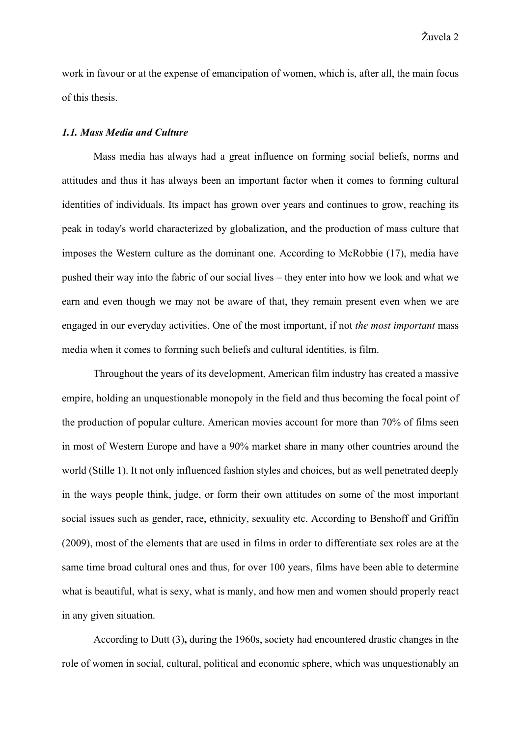work in favour or at the expense of emancipation of women, which is, after all, the main focus of this thesis.

#### *1.1. Mass Media and Culture*

Mass media has always had a great influence on forming social beliefs, norms and attitudes and thus it has always been an important factor when it comes to forming cultural identities of individuals. Its impact has grown over years and continues to grow, reaching its peak in today's world characterized by globalization, and the production of mass culture that imposes the Western culture as the dominant one. According to McRobbie (17), media have pushed their way into the fabric of our social lives – they enter into how we look and what we earn and even though we may not be aware of that, they remain present even when we are engaged in our everyday activities. One of the most important, if not *the most important* mass media when it comes to forming such beliefs and cultural identities, is film.

Throughout the years of its development, American film industry has created a massive empire, holding an unquestionable monopoly in the field and thus becoming the focal point of the production of popular culture. American movies account for more than 70% of films seen in most of Western Europe and have a 90% market share in many other countries around the world (Stille 1). It not only influenced fashion styles and choices, but as well penetrated deeply in the ways people think, judge, or form their own attitudes on some of the most important social issues such as gender, race, ethnicity, sexuality etc. According to Benshoff and Griffin (2009), most of the elements that are used in films in order to differentiate sex roles are at the same time broad cultural ones and thus, for over 100 years, films have been able to determine what is beautiful, what is sexy, what is manly, and how men and women should properly react in any given situation.

According to Dutt (3)**,** during the 1960s, society had encountered drastic changes in the role of women in social, cultural, political and economic sphere, which was unquestionably an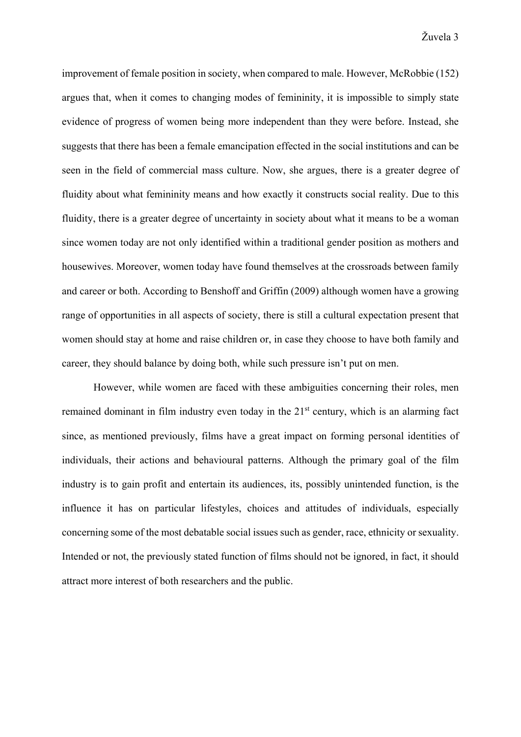improvement of female position in society, when compared to male. However, McRobbie (152) argues that, when it comes to changing modes of femininity, it is impossible to simply state evidence of progress of women being more independent than they were before. Instead, she suggests that there has been a female emancipation effected in the social institutions and can be seen in the field of commercial mass culture. Now, she argues, there is a greater degree of fluidity about what femininity means and how exactly it constructs social reality. Due to this fluidity, there is a greater degree of uncertainty in society about what it means to be a woman since women today are not only identified within a traditional gender position as mothers and housewives. Moreover, women today have found themselves at the crossroads between family and career or both. According to Benshoff and Griffin (2009) although women have a growing range of opportunities in all aspects of society, there is still a cultural expectation present that women should stay at home and raise children or, in case they choose to have both family and career, they should balance by doing both, while such pressure isn't put on men.

However, while women are faced with these ambiguities concerning their roles, men remained dominant in film industry even today in the 21<sup>st</sup> century, which is an alarming fact since, as mentioned previously, films have a great impact on forming personal identities of individuals, their actions and behavioural patterns. Although the primary goal of the film industry is to gain profit and entertain its audiences, its, possibly unintended function, is the influence it has on particular lifestyles, choices and attitudes of individuals, especially concerning some of the most debatable social issues such as gender, race, ethnicity or sexuality. Intended or not, the previously stated function of films should not be ignored, in fact, it should attract more interest of both researchers and the public.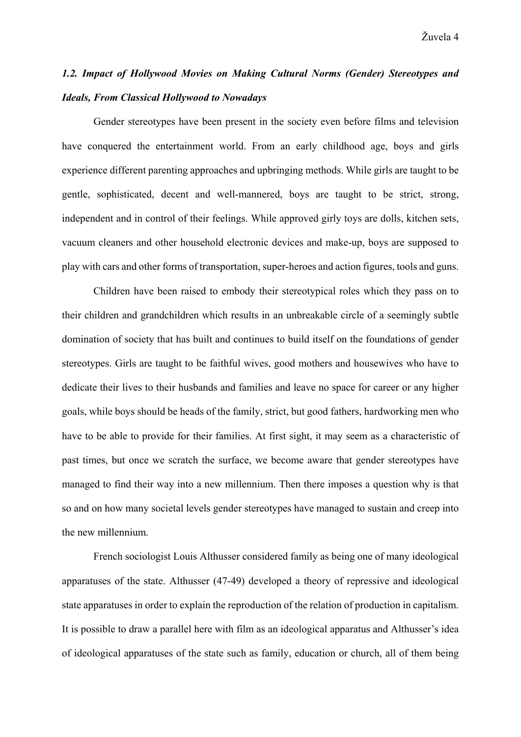### *1.2. Impact of Hollywood Movies on Making Cultural Norms (Gender) Stereotypes and Ideals, From Classical Hollywood to Nowadays*

Gender stereotypes have been present in the society even before films and television have conquered the entertainment world. From an early childhood age, boys and girls experience different parenting approaches and upbringing methods. While girls are taught to be gentle, sophisticated, decent and well-mannered, boys are taught to be strict, strong, independent and in control of their feelings. While approved girly toys are dolls, kitchen sets, vacuum cleaners and other household electronic devices and make-up, boys are supposed to play with cars and other forms of transportation, super-heroes and action figures, tools and guns.

Children have been raised to embody their stereotypical roles which they pass on to their children and grandchildren which results in an unbreakable circle of a seemingly subtle domination of society that has built and continues to build itself on the foundations of gender stereotypes. Girls are taught to be faithful wives, good mothers and housewives who have to dedicate their lives to their husbands and families and leave no space for career or any higher goals, while boys should be heads of the family, strict, but good fathers, hardworking men who have to be able to provide for their families. At first sight, it may seem as a characteristic of past times, but once we scratch the surface, we become aware that gender stereotypes have managed to find their way into a new millennium. Then there imposes a question why is that so and on how many societal levels gender stereotypes have managed to sustain and creep into the new millennium.

French sociologist Louis Althusser considered family as being one of many ideological apparatuses of the state. Althusser (47-49) developed a theory of repressive and ideological state apparatuses in order to explain the reproduction of the relation of production in capitalism. It is possible to draw a parallel here with film as an ideological apparatus and Althusser's idea of ideological apparatuses of the state such as family, education or church, all of them being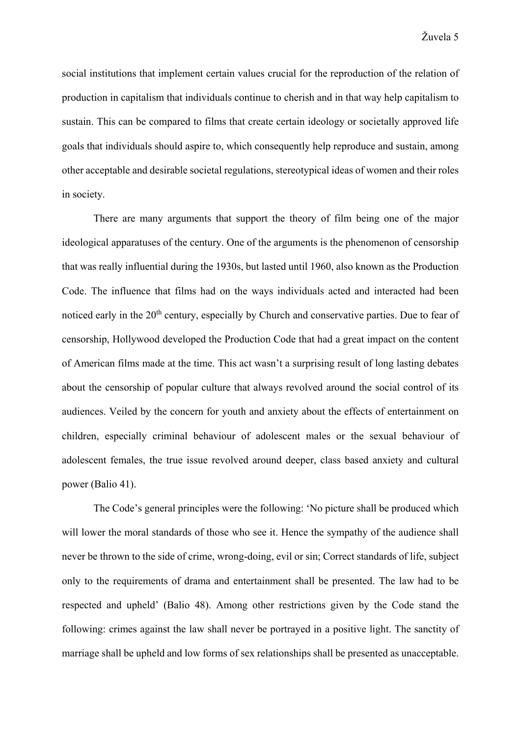social institutions that implement certain values crucial for the reproduction of the relation of production in capitalism that individuals continue to cherish and in that way help capitalism to sustain. This can be compared to films that create certain ideology or societally approved life goals that individuals should aspire to, which consequently help reproduce and sustain, among other acceptable and desirable societal regulations, stereotypical ideas of women and their roles in society.

There are many arguments that support the theory of film being one of the major ideological apparatuses of the century. One of the arguments is the phenomenon of censorship that was really influential during the 1930s, but lasted until 1960, also known as the Production Code. The influence that films had on the ways individuals acted and interacted had been noticed early in the 20<sup>th</sup> century, especially by Church and conservative parties. Due to fear of censorship, Hollywood developed the Production Code that had a great impact on the content of American films made at the time. This act wasn't a surprising result of long lasting debates about the censorship of popular culture that always revolved around the social control of its audiences. Veiled by the concern for youth and anxiety about the effects of entertainment on children, especially criminal behaviour of adolescent males or the sexual behaviour of adolescent females, the true issue revolved around deeper, class based anxiety and cultural power (Balio 41).

The Code's general principles were the following: 'No picture shall be produced which will lower the moral standards of those who see it. Hence the sympathy of the audience shall never be thrown to the side of crime, wrong-doing, evil or sin; Correct standards of life, subject only to the requirements of drama and entertainment shall be presented. The law had to be respected and upheld' (Balio 48). Among other restrictions given by the Code stand the following: crimes against the law shall never be portrayed in a positive light. The sanctity of marriage shall be upheld and low forms of sex relationships shall be presented as unacceptable.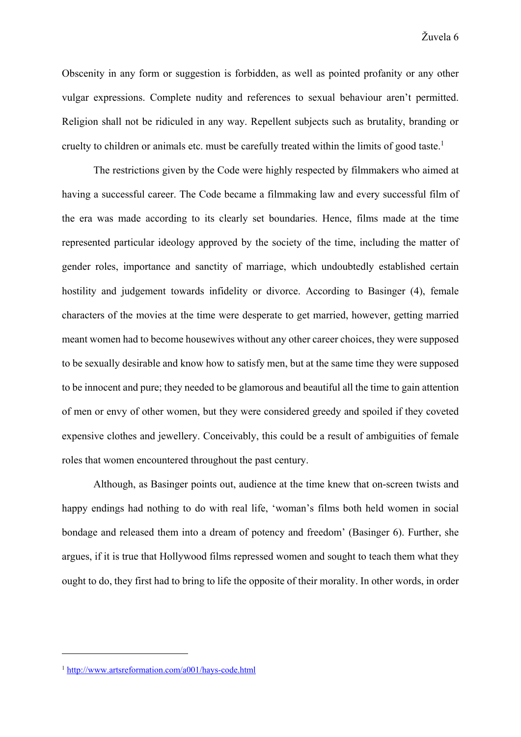Obscenity in any form or suggestion is forbidden, as well as pointed profanity or any other vulgar expressions. Complete nudity and references to sexual behaviour aren't permitted. Religion shall not be ridiculed in any way. Repellent subjects such as brutality, branding or cruelty to children or animals etc. must be carefully treated within the limits of good taste.<sup>1</sup>

The restrictions given by the Code were highly respected by filmmakers who aimed at having a successful career. The Code became a filmmaking law and every successful film of the era was made according to its clearly set boundaries. Hence, films made at the time represented particular ideology approved by the society of the time, including the matter of gender roles, importance and sanctity of marriage, which undoubtedly established certain hostility and judgement towards infidelity or divorce. According to Basinger (4), female characters of the movies at the time were desperate to get married, however, getting married meant women had to become housewives without any other career choices, they were supposed to be sexually desirable and know how to satisfy men, but at the same time they were supposed to be innocent and pure; they needed to be glamorous and beautiful all the time to gain attention of men or envy of other women, but they were considered greedy and spoiled if they coveted expensive clothes and jewellery. Conceivably, this could be a result of ambiguities of female roles that women encountered throughout the past century.

Although, as Basinger points out, audience at the time knew that on-screen twists and happy endings had nothing to do with real life, 'woman's films both held women in social bondage and released them into a dream of potency and freedom' (Basinger 6). Further, she argues, if it is true that Hollywood films repressed women and sought to teach them what they ought to do, they first had to bring to life the opposite of their morality. In other words, in order

<sup>1</sup> http://www.artsreformation.com/a001/hays-code.html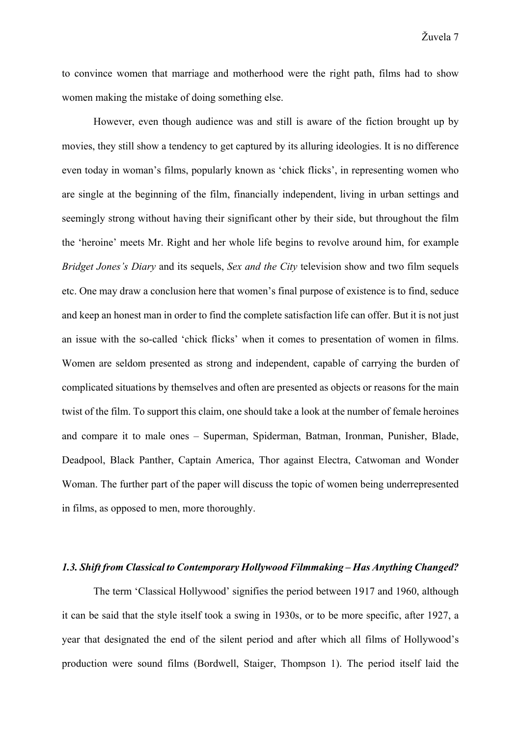to convince women that marriage and motherhood were the right path, films had to show women making the mistake of doing something else.

However, even though audience was and still is aware of the fiction brought up by movies, they still show a tendency to get captured by its alluring ideologies. It is no difference even today in woman's films, popularly known as 'chick flicks', in representing women who are single at the beginning of the film, financially independent, living in urban settings and seemingly strong without having their significant other by their side, but throughout the film the 'heroine' meets Mr. Right and her whole life begins to revolve around him, for example *Bridget Jones's Diary* and its sequels, *Sex and the City* television show and two film sequels etc. One may draw a conclusion here that women's final purpose of existence is to find, seduce and keep an honest man in order to find the complete satisfaction life can offer. But it is not just an issue with the so-called 'chick flicks' when it comes to presentation of women in films. Women are seldom presented as strong and independent, capable of carrying the burden of complicated situations by themselves and often are presented as objects or reasons for the main twist of the film. To support this claim, one should take a look at the number of female heroines and compare it to male ones – Superman, Spiderman, Batman, Ironman, Punisher, Blade, Deadpool, Black Panther, Captain America, Thor against Electra, Catwoman and Wonder Woman. The further part of the paper will discuss the topic of women being underrepresented in films, as opposed to men, more thoroughly.

#### *1.3. Shift from Classical to Contemporary Hollywood Filmmaking – Has Anything Changed?*

The term 'Classical Hollywood' signifies the period between 1917 and 1960, although it can be said that the style itself took a swing in 1930s, or to be more specific, after 1927, a year that designated the end of the silent period and after which all films of Hollywood's production were sound films (Bordwell, Staiger, Thompson 1). The period itself laid the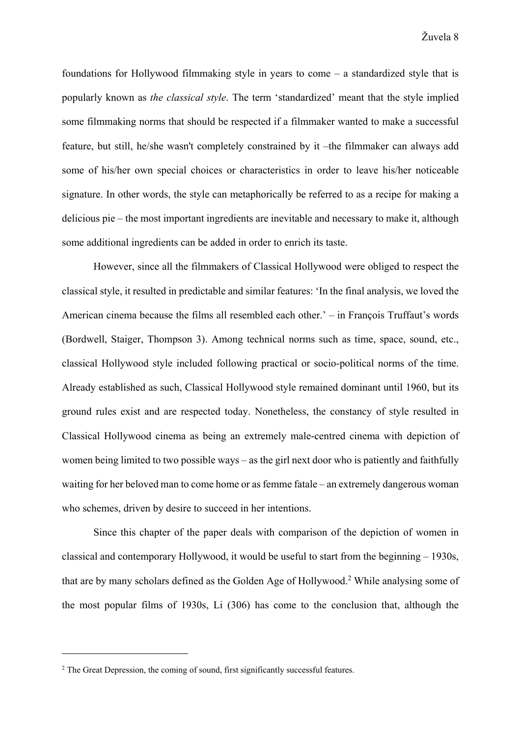foundations for Hollywood filmmaking style in years to come – a standardized style that is popularly known as *the classical style*. The term 'standardized' meant that the style implied some filmmaking norms that should be respected if a filmmaker wanted to make a successful feature, but still, he/she wasn't completely constrained by it –the filmmaker can always add some of his/her own special choices or characteristics in order to leave his/her noticeable signature. In other words, the style can metaphorically be referred to as a recipe for making a delicious pie – the most important ingredients are inevitable and necessary to make it, although some additional ingredients can be added in order to enrich its taste.

However, since all the filmmakers of Classical Hollywood were obliged to respect the classical style, it resulted in predictable and similar features: 'In the final analysis, we loved the American cinema because the films all resembled each other.' – in François Truffaut's words (Bordwell, Staiger, Thompson 3). Among technical norms such as time, space, sound, etc., classical Hollywood style included following practical or socio-political norms of the time. Already established as such, Classical Hollywood style remained dominant until 1960, but its ground rules exist and are respected today. Nonetheless, the constancy of style resulted in Classical Hollywood cinema as being an extremely male-centred cinema with depiction of women being limited to two possible ways – as the girl next door who is patiently and faithfully waiting for her beloved man to come home or as femme fatale – an extremely dangerous woman who schemes, driven by desire to succeed in her intentions.

Since this chapter of the paper deals with comparison of the depiction of women in classical and contemporary Hollywood, it would be useful to start from the beginning – 1930s, that are by many scholars defined as the Golden Age of Hollywood.<sup>2</sup> While analysing some of the most popular films of 1930s, Li (306) has come to the conclusion that, although the

<sup>&</sup>lt;sup>2</sup> The Great Depression, the coming of sound, first significantly successful features.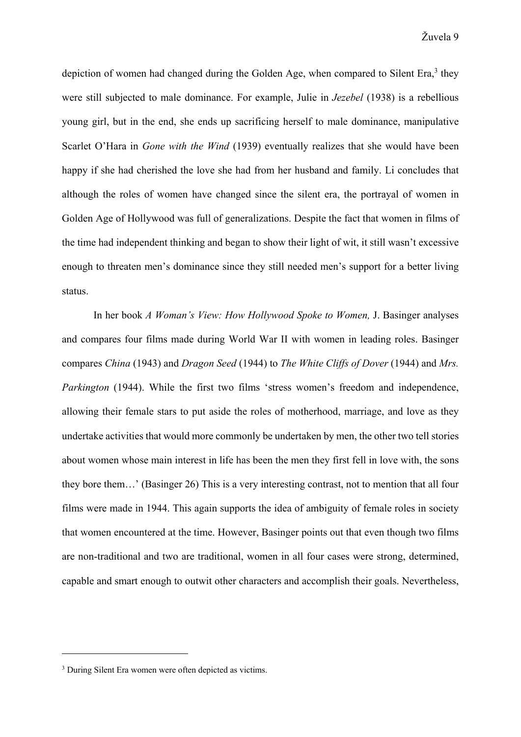depiction of women had changed during the Golden Age, when compared to Silent Era,<sup>3</sup> they were still subjected to male dominance. For example, Julie in *Jezebel* (1938) is a rebellious young girl, but in the end, she ends up sacrificing herself to male dominance, manipulative Scarlet O'Hara in *Gone with the Wind* (1939) eventually realizes that she would have been happy if she had cherished the love she had from her husband and family. Li concludes that although the roles of women have changed since the silent era, the portrayal of women in Golden Age of Hollywood was full of generalizations. Despite the fact that women in films of the time had independent thinking and began to show their light of wit, it still wasn't excessive enough to threaten men's dominance since they still needed men's support for a better living status.

In her book *A Woman's View: How Hollywood Spoke to Women,* J. Basinger analyses and compares four films made during World War II with women in leading roles. Basinger compares *China* (1943) and *Dragon Seed* (1944) to *The White Cliffs of Dover* (1944) and *Mrs. Parkington* (1944). While the first two films 'stress women's freedom and independence, allowing their female stars to put aside the roles of motherhood, marriage, and love as they undertake activities that would more commonly be undertaken by men, the other two tell stories about women whose main interest in life has been the men they first fell in love with, the sons they bore them…' (Basinger 26) This is a very interesting contrast, not to mention that all four films were made in 1944. This again supports the idea of ambiguity of female roles in society that women encountered at the time. However, Basinger points out that even though two films are non-traditional and two are traditional, women in all four cases were strong, determined, capable and smart enough to outwit other characters and accomplish their goals. Nevertheless,

<sup>3</sup> During Silent Era women were often depicted as victims.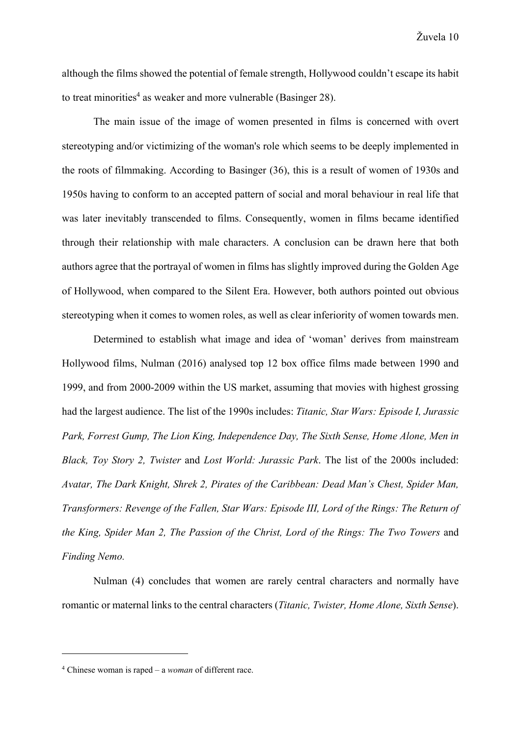although the films showed the potential of female strength, Hollywood couldn't escape its habit to treat minorities<sup>4</sup> as weaker and more vulnerable (Basinger 28).

The main issue of the image of women presented in films is concerned with overt stereotyping and/or victimizing of the woman's role which seems to be deeply implemented in the roots of filmmaking. According to Basinger (36), this is a result of women of 1930s and 1950s having to conform to an accepted pattern of social and moral behaviour in real life that was later inevitably transcended to films. Consequently, women in films became identified through their relationship with male characters. A conclusion can be drawn here that both authors agree that the portrayal of women in films has slightly improved during the Golden Age of Hollywood, when compared to the Silent Era. However, both authors pointed out obvious stereotyping when it comes to women roles, as well as clear inferiority of women towards men.

Determined to establish what image and idea of 'woman' derives from mainstream Hollywood films, Nulman (2016) analysed top 12 box office films made between 1990 and 1999, and from 2000-2009 within the US market, assuming that movies with highest grossing had the largest audience. The list of the 1990s includes: *Titanic, Star Wars: Episode I, Jurassic Park, Forrest Gump, The Lion King, Independence Day, The Sixth Sense, Home Alone, Men in Black, Toy Story 2, Twister* and *Lost World: Jurassic Park*. The list of the 2000s included: *Avatar, The Dark Knight, Shrek 2, Pirates of the Caribbean: Dead Man's Chest, Spider Man, Transformers: Revenge of the Fallen, Star Wars: Episode III, Lord of the Rings: The Return of the King, Spider Man 2, The Passion of the Christ, Lord of the Rings: The Two Towers* and *Finding Nemo.* 

Nulman (4) concludes that women are rarely central characters and normally have romantic or maternal links to the central characters (*Titanic, Twister, Home Alone, Sixth Sense*).

<sup>4</sup> Chinese woman is raped – a *woman* of different race.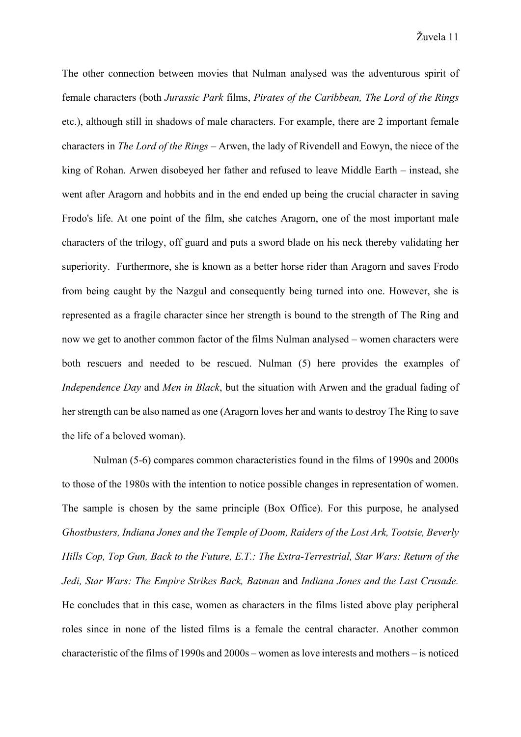The other connection between movies that Nulman analysed was the adventurous spirit of female characters (both *Jurassic Park* films, *Pirates of the Caribbean, The Lord of the Rings*  etc.), although still in shadows of male characters. For example, there are 2 important female characters in *The Lord of the Rings –* Arwen, the lady of Rivendell and Eowyn, the niece of the king of Rohan. Arwen disobeyed her father and refused to leave Middle Earth – instead, she went after Aragorn and hobbits and in the end ended up being the crucial character in saving Frodo's life. At one point of the film, she catches Aragorn, one of the most important male characters of the trilogy, off guard and puts a sword blade on his neck thereby validating her superiority. Furthermore, she is known as a better horse rider than Aragorn and saves Frodo from being caught by the Nazgul and consequently being turned into one. However, she is represented as a fragile character since her strength is bound to the strength of The Ring and now we get to another common factor of the films Nulman analysed – women characters were both rescuers and needed to be rescued. Nulman (5) here provides the examples of *Independence Day* and *Men in Black*, but the situation with Arwen and the gradual fading of her strength can be also named as one (Aragorn loves her and wants to destroy The Ring to save the life of a beloved woman).

Nulman (5-6) compares common characteristics found in the films of 1990s and 2000s to those of the 1980s with the intention to notice possible changes in representation of women. The sample is chosen by the same principle (Box Office). For this purpose, he analysed *Ghostbusters, Indiana Jones and the Temple of Doom, Raiders of the Lost Ark, Tootsie, Beverly Hills Cop, Top Gun, Back to the Future, E.T.: The Extra-Terrestrial, Star Wars: Return of the Jedi, Star Wars: The Empire Strikes Back, Batman* and *Indiana Jones and the Last Crusade.*  He concludes that in this case, women as characters in the films listed above play peripheral roles since in none of the listed films is a female the central character. Another common characteristic of the films of 1990s and 2000s – women as love interests and mothers – is noticed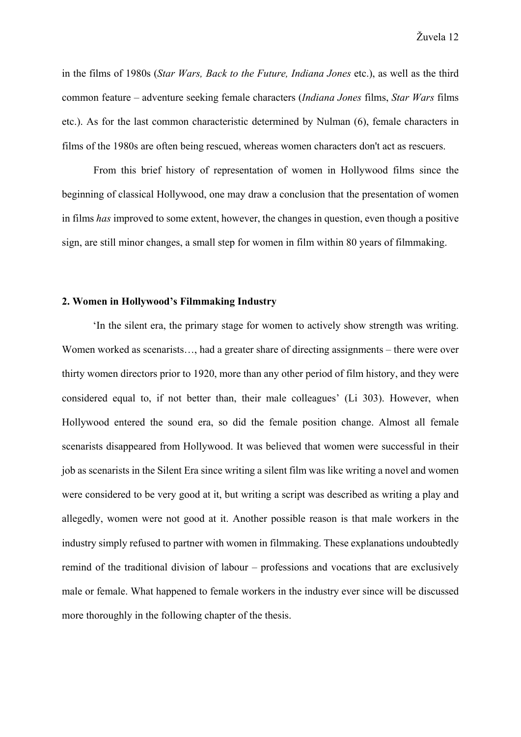in the films of 1980s (*Star Wars, Back to the Future, Indiana Jones* etc.), as well as the third common feature – adventure seeking female characters (*Indiana Jones* films, *Star Wars* films etc.). As for the last common characteristic determined by Nulman (6), female characters in films of the 1980s are often being rescued, whereas women characters don't act as rescuers.

From this brief history of representation of women in Hollywood films since the beginning of classical Hollywood, one may draw a conclusion that the presentation of women in films *has* improved to some extent, however, the changes in question, even though a positive sign, are still minor changes, a small step for women in film within 80 years of filmmaking.

### **2. Women in Hollywood's Filmmaking Industry**

 'In the silent era, the primary stage for women to actively show strength was writing. Women worked as scenarists..., had a greater share of directing assignments – there were over thirty women directors prior to 1920, more than any other period of film history, and they were considered equal to, if not better than, their male colleagues' (Li 303). However, when Hollywood entered the sound era, so did the female position change. Almost all female scenarists disappeared from Hollywood. It was believed that women were successful in their job as scenarists in the Silent Era since writing a silent film was like writing a novel and women were considered to be very good at it, but writing a script was described as writing a play and allegedly, women were not good at it. Another possible reason is that male workers in the industry simply refused to partner with women in filmmaking. These explanations undoubtedly remind of the traditional division of labour – professions and vocations that are exclusively male or female. What happened to female workers in the industry ever since will be discussed more thoroughly in the following chapter of the thesis.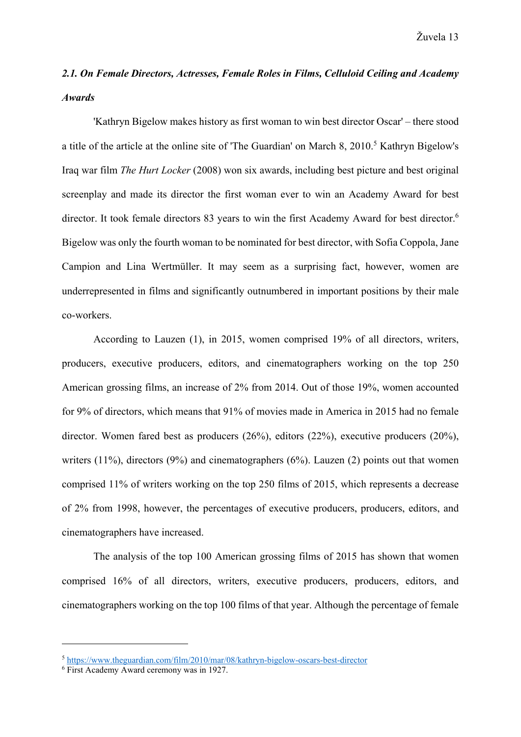### *2.1. On Female Directors, Actresses, Female Roles in Films, Celluloid Ceiling and Academy Awards*

'Kathryn Bigelow makes history as first woman to win best director Oscar' – there stood a title of the article at the online site of 'The Guardian' on March 8, 2010.<sup>5</sup> Kathryn Bigelow's Iraq war film *The Hurt Locker* (2008) won six awards, including best picture and best original screenplay and made its director the first woman ever to win an Academy Award for best director. It took female directors 83 years to win the first Academy Award for best director.<sup>6</sup> Bigelow was only the fourth woman to be nominated for best director, with Sofia Coppola, Jane Campion and Lina Wertmüller. It may seem as a surprising fact, however, women are underrepresented in films and significantly outnumbered in important positions by their male co-workers.

According to Lauzen (1), in 2015, women comprised 19% of all directors, writers, producers, executive producers, editors, and cinematographers working on the top 250 American grossing films, an increase of 2% from 2014. Out of those 19%, women accounted for 9% of directors, which means that 91% of movies made in America in 2015 had no female director. Women fared best as producers (26%), editors (22%), executive producers (20%), writers  $(11\%)$ , directors  $(9\%)$  and cinematographers  $(6\%)$ . Lauzen  $(2)$  points out that women comprised 11% of writers working on the top 250 films of 2015, which represents a decrease of 2% from 1998, however, the percentages of executive producers, producers, editors, and cinematographers have increased.

The analysis of the top 100 American grossing films of 2015 has shown that women comprised 16% of all directors, writers, executive producers, producers, editors, and cinematographers working on the top 100 films of that year. Although the percentage of female

<sup>5</sup> https://www.theguardian.com/film/2010/mar/08/kathryn-bigelow-oscars-best-director

<sup>6</sup> First Academy Award ceremony was in 1927.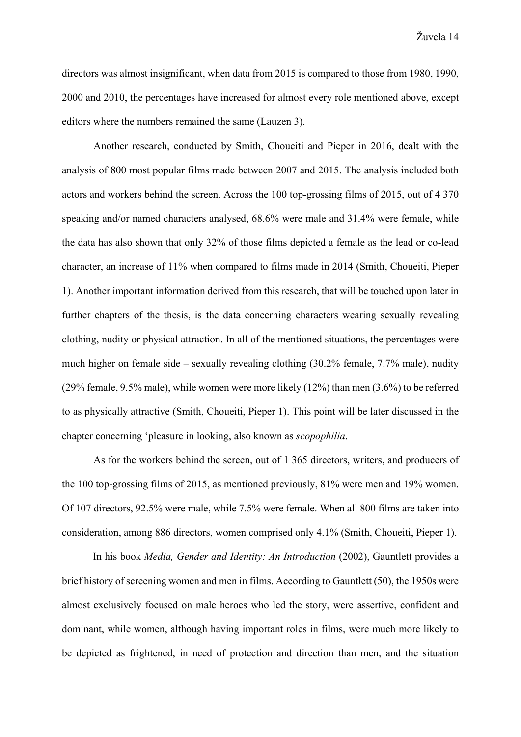directors was almost insignificant, when data from 2015 is compared to those from 1980, 1990, 2000 and 2010, the percentages have increased for almost every role mentioned above, except editors where the numbers remained the same (Lauzen 3).

Another research, conducted by Smith, Choueiti and Pieper in 2016, dealt with the analysis of 800 most popular films made between 2007 and 2015. The analysis included both actors and workers behind the screen. Across the 100 top-grossing films of 2015, out of 4 370 speaking and/or named characters analysed, 68.6% were male and 31.4% were female, while the data has also shown that only 32% of those films depicted a female as the lead or co-lead character, an increase of 11% when compared to films made in 2014 (Smith, Choueiti, Pieper 1). Another important information derived from this research, that will be touched upon later in further chapters of the thesis, is the data concerning characters wearing sexually revealing clothing, nudity or physical attraction. In all of the mentioned situations, the percentages were much higher on female side – sexually revealing clothing (30.2% female, 7.7% male), nudity (29% female, 9.5% male), while women were more likely (12%) than men (3.6%) to be referred to as physically attractive (Smith, Choueiti, Pieper 1). This point will be later discussed in the chapter concerning 'pleasure in looking, also known as *scopophilia*.

As for the workers behind the screen, out of 1 365 directors, writers, and producers of the 100 top-grossing films of 2015, as mentioned previously, 81% were men and 19% women. Of 107 directors, 92.5% were male, while 7.5% were female. When all 800 films are taken into consideration, among 886 directors, women comprised only 4.1% (Smith, Choueiti, Pieper 1).

 In his book *Media, Gender and Identity: An Introduction* (2002), Gauntlett provides a brief history of screening women and men in films. According to Gauntlett (50), the 1950s were almost exclusively focused on male heroes who led the story, were assertive, confident and dominant, while women, although having important roles in films, were much more likely to be depicted as frightened, in need of protection and direction than men, and the situation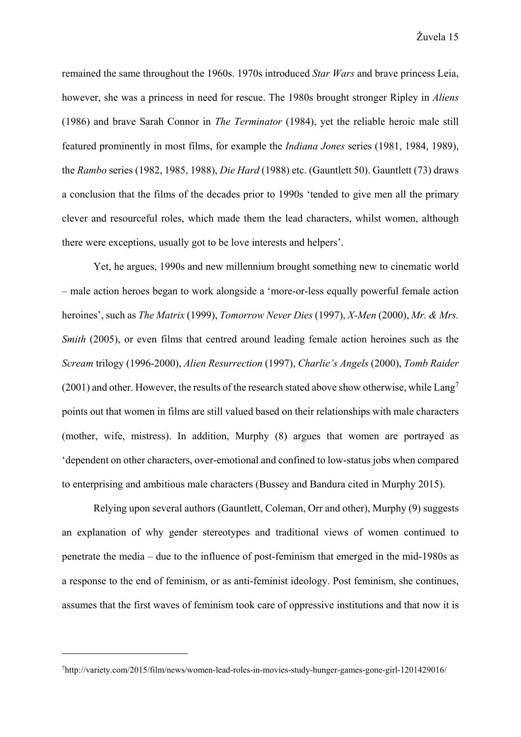remained the same throughout the 1960s. 1970s introduced *Star Wars* and brave princess Leia, however, she was a princess in need for rescue. The 1980s brought stronger Ripley in *Aliens*  (1986) and brave Sarah Connor in *The Terminator* (1984), yet the reliable heroic male still featured prominently in most films, for example the *Indiana Jones* series (1981, 1984, 1989), the *Rambo* series (1982, 1985, 1988), *Die Hard* (1988) etc. (Gauntlett 50). Gauntlett (73) draws a conclusion that the films of the decades prior to 1990s 'tended to give men all the primary clever and resourceful roles, which made them the lead characters, whilst women, although there were exceptions, usually got to be love interests and helpers'.

Yet, he argues, 1990s and new millennium brought something new to cinematic world – male action heroes began to work alongside a 'more-or-less equally powerful female action heroines', such as *The Matrix* (1999), *Tomorrow Never Dies* (1997), *X-Men* (2000), *Mr. & Mrs. Smith* (2005), or even films that centred around leading female action heroines such as the *Scream* trilogy (1996-2000), *Alien Resurrection* (1997), *Charlie's Angels* (2000), *Tomb Raider*  (2001) and other. However, the results of the research stated above show otherwise, while Lang<sup>7</sup> points out that women in films are still valued based on their relationships with male characters (mother, wife, mistress). In addition, Murphy (8) argues that women are portrayed as 'dependent on other characters, over-emotional and confined to low-status jobs when compared to enterprising and ambitious male characters (Bussey and Bandura cited in Murphy 2015).

Relying upon several authors (Gauntlett, Coleman, Orr and other), Murphy (9) suggests an explanation of why gender stereotypes and traditional views of women continued to penetrate the media – due to the influence of post-feminism that emerged in the mid-1980s as a response to the end of feminism, or as anti-feminist ideology. Post feminism, she continues, assumes that the first waves of feminism took care of oppressive institutions and that now it is

<sup>7</sup> http://variety.com/2015/film/news/women-lead-roles-in-movies-study-hunger-games-gone-girl-1201429016/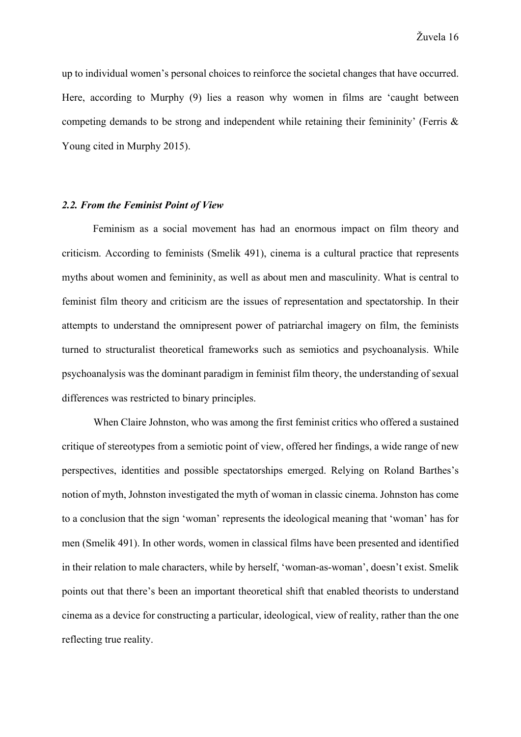up to individual women's personal choices to reinforce the societal changes that have occurred. Here, according to Murphy (9) lies a reason why women in films are 'caught between competing demands to be strong and independent while retaining their femininity' (Ferris & Young cited in Murphy 2015).

#### *2.2. From the Feminist Point of View*

 Feminism as a social movement has had an enormous impact on film theory and criticism. According to feminists (Smelik 491), cinema is a cultural practice that represents myths about women and femininity, as well as about men and masculinity. What is central to feminist film theory and criticism are the issues of representation and spectatorship. In their attempts to understand the omnipresent power of patriarchal imagery on film, the feminists turned to structuralist theoretical frameworks such as semiotics and psychoanalysis. While psychoanalysis was the dominant paradigm in feminist film theory, the understanding of sexual differences was restricted to binary principles.

When Claire Johnston, who was among the first feminist critics who offered a sustained critique of stereotypes from a semiotic point of view, offered her findings, a wide range of new perspectives, identities and possible spectatorships emerged. Relying on Roland Barthes's notion of myth, Johnston investigated the myth of woman in classic cinema. Johnston has come to a conclusion that the sign 'woman' represents the ideological meaning that 'woman' has for men (Smelik 491). In other words, women in classical films have been presented and identified in their relation to male characters, while by herself, 'woman-as-woman', doesn't exist. Smelik points out that there's been an important theoretical shift that enabled theorists to understand cinema as a device for constructing a particular, ideological, view of reality, rather than the one reflecting true reality.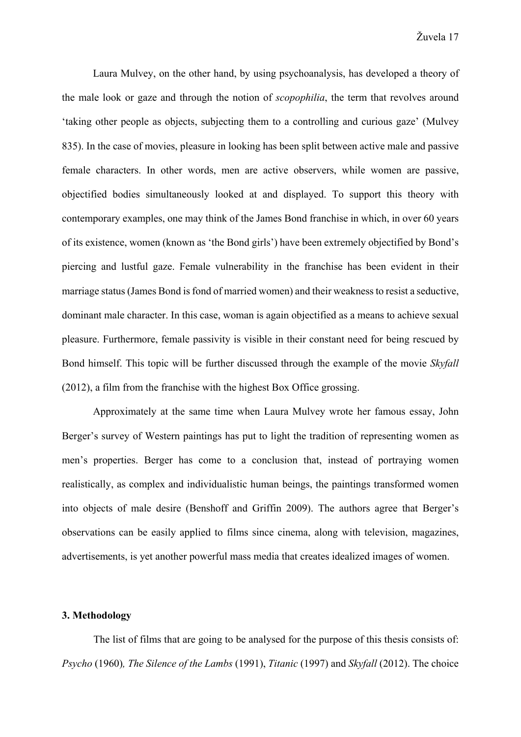Laura Mulvey, on the other hand, by using psychoanalysis, has developed a theory of the male look or gaze and through the notion of *scopophilia*, the term that revolves around 'taking other people as objects, subjecting them to a controlling and curious gaze' (Mulvey 835). In the case of movies, pleasure in looking has been split between active male and passive female characters. In other words, men are active observers, while women are passive, objectified bodies simultaneously looked at and displayed. To support this theory with contemporary examples, one may think of the James Bond franchise in which, in over 60 years of its existence, women (known as 'the Bond girls') have been extremely objectified by Bond's piercing and lustful gaze. Female vulnerability in the franchise has been evident in their marriage status (James Bond is fond of married women) and their weakness to resist a seductive, dominant male character. In this case, woman is again objectified as a means to achieve sexual pleasure. Furthermore, female passivity is visible in their constant need for being rescued by Bond himself. This topic will be further discussed through the example of the movie *Skyfall*  (2012), a film from the franchise with the highest Box Office grossing.

 Approximately at the same time when Laura Mulvey wrote her famous essay, John Berger's survey of Western paintings has put to light the tradition of representing women as men's properties. Berger has come to a conclusion that, instead of portraying women realistically, as complex and individualistic human beings, the paintings transformed women into objects of male desire (Benshoff and Griffin 2009). The authors agree that Berger's observations can be easily applied to films since cinema, along with television, magazines, advertisements, is yet another powerful mass media that creates idealized images of women.

#### **3. Methodology**

The list of films that are going to be analysed for the purpose of this thesis consists of: *Psycho* (1960)*, The Silence of the Lambs* (1991), *Titanic* (1997) and *Skyfall* (2012). The choice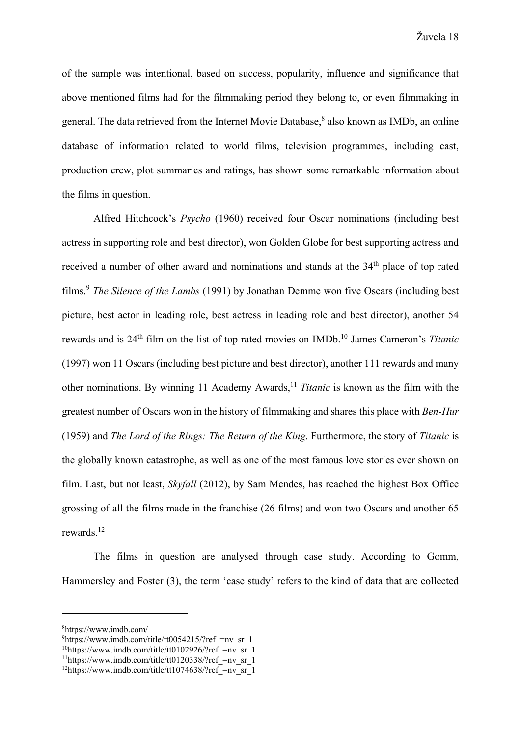of the sample was intentional, based on success, popularity, influence and significance that above mentioned films had for the filmmaking period they belong to, or even filmmaking in general. The data retrieved from the Internet Movie Database,<sup>8</sup> also known as IMDb, an online database of information related to world films, television programmes, including cast, production crew, plot summaries and ratings, has shown some remarkable information about the films in question.

Alfred Hitchcock's *Psycho* (1960) received four Oscar nominations (including best actress in supporting role and best director), won Golden Globe for best supporting actress and received a number of other award and nominations and stands at the 34<sup>th</sup> place of top rated films.<sup>9</sup> *The Silence of the Lambs* (1991) by Jonathan Demme won five Oscars (including best picture, best actor in leading role, best actress in leading role and best director), another 54 rewards and is 24th film on the list of top rated movies on IMDb.10 James Cameron's *Titanic* (1997) won 11 Oscars (including best picture and best director), another 111 rewards and many other nominations. By winning 11 Academy Awards,<sup>11</sup> *Titanic* is known as the film with the greatest number of Oscars won in the history of filmmaking and shares this place with *Ben-Hur*  (1959) and *The Lord of the Rings: The Return of the King*. Furthermore, the story of *Titanic* is the globally known catastrophe, as well as one of the most famous love stories ever shown on film. Last, but not least, *Skyfall* (2012), by Sam Mendes, has reached the highest Box Office grossing of all the films made in the franchise (26 films) and won two Oscars and another 65 rewards.12

The films in question are analysed through case study. According to Gomm, Hammersley and Foster (3), the term 'case study' refers to the kind of data that are collected

<sup>8</sup> https://www.imdb.com/

 $9$ https://www.imdb.com/title/tt0054215/?ref =nv sr\_1

<sup>&</sup>lt;sup>10</sup>https://www.imdb.com/title/tt0102926/?ref $=$ n $\overline{r}$  sr<sup>1</sup>

 $11$ https://www.imdb.com/title/tt0120338/?ref $=$ nv\_sr\_1

 $12$ https://www.imdb.com/title/tt1074638/?ref $=$ nv\_sr\_1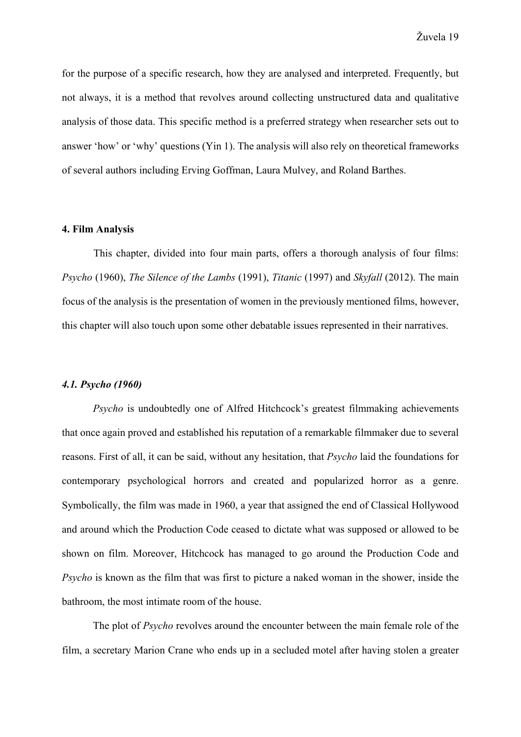for the purpose of a specific research, how they are analysed and interpreted. Frequently, but not always, it is a method that revolves around collecting unstructured data and qualitative analysis of those data. This specific method is a preferred strategy when researcher sets out to answer 'how' or 'why' questions (Yin 1). The analysis will also rely on theoretical frameworks of several authors including Erving Goffman, Laura Mulvey, and Roland Barthes.

#### **4. Film Analysis**

This chapter, divided into four main parts, offers a thorough analysis of four films: *Psycho* (1960), *The Silence of the Lambs* (1991), *Titanic* (1997) and *Skyfall* (2012). The main focus of the analysis is the presentation of women in the previously mentioned films, however, this chapter will also touch upon some other debatable issues represented in their narratives.

#### *4.1. Psycho (1960)*

*Psycho* is undoubtedly one of Alfred Hitchcock's greatest filmmaking achievements that once again proved and established his reputation of a remarkable filmmaker due to several reasons. First of all, it can be said, without any hesitation, that *Psycho* laid the foundations for contemporary psychological horrors and created and popularized horror as a genre. Symbolically, the film was made in 1960, a year that assigned the end of Classical Hollywood and around which the Production Code ceased to dictate what was supposed or allowed to be shown on film. Moreover, Hitchcock has managed to go around the Production Code and *Psycho* is known as the film that was first to picture a naked woman in the shower, inside the bathroom, the most intimate room of the house.

 The plot of *Psycho* revolves around the encounter between the main female role of the film, a secretary Marion Crane who ends up in a secluded motel after having stolen a greater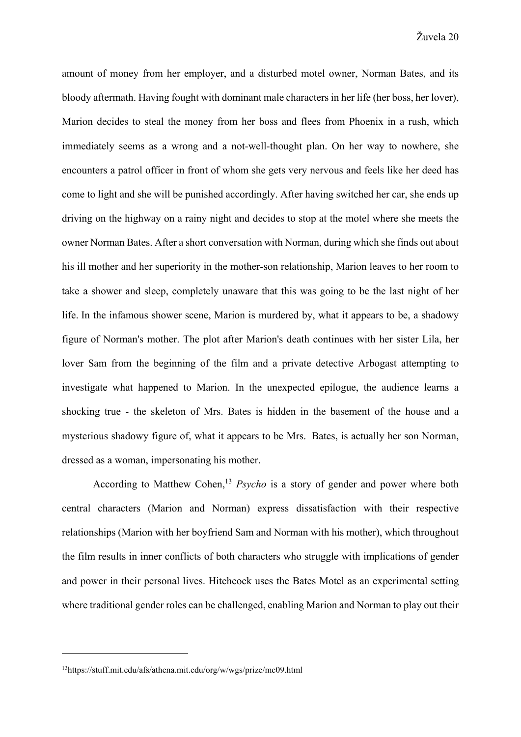amount of money from her employer, and a disturbed motel owner, Norman Bates, and its bloody aftermath. Having fought with dominant male characters in her life (her boss, her lover), Marion decides to steal the money from her boss and flees from Phoenix in a rush, which immediately seems as a wrong and a not-well-thought plan. On her way to nowhere, she encounters a patrol officer in front of whom she gets very nervous and feels like her deed has come to light and she will be punished accordingly. After having switched her car, she ends up driving on the highway on a rainy night and decides to stop at the motel where she meets the owner Norman Bates. After a short conversation with Norman, during which she finds out about his ill mother and her superiority in the mother-son relationship, Marion leaves to her room to take a shower and sleep, completely unaware that this was going to be the last night of her life. In the infamous shower scene, Marion is murdered by, what it appears to be, a shadowy figure of Norman's mother. The plot after Marion's death continues with her sister Lila, her lover Sam from the beginning of the film and a private detective Arbogast attempting to investigate what happened to Marion. In the unexpected epilogue, the audience learns a shocking true - the skeleton of Mrs. Bates is hidden in the basement of the house and a mysterious shadowy figure of, what it appears to be Mrs. Bates, is actually her son Norman, dressed as a woman, impersonating his mother.

According to Matthew Cohen,<sup>13</sup> *Psycho* is a story of gender and power where both central characters (Marion and Norman) express dissatisfaction with their respective relationships (Marion with her boyfriend Sam and Norman with his mother), which throughout the film results in inner conflicts of both characters who struggle with implications of gender and power in their personal lives. Hitchcock uses the Bates Motel as an experimental setting where traditional gender roles can be challenged, enabling Marion and Norman to play out their

<sup>13</sup>https://stuff.mit.edu/afs/athena.mit.edu/org/w/wgs/prize/mc09.html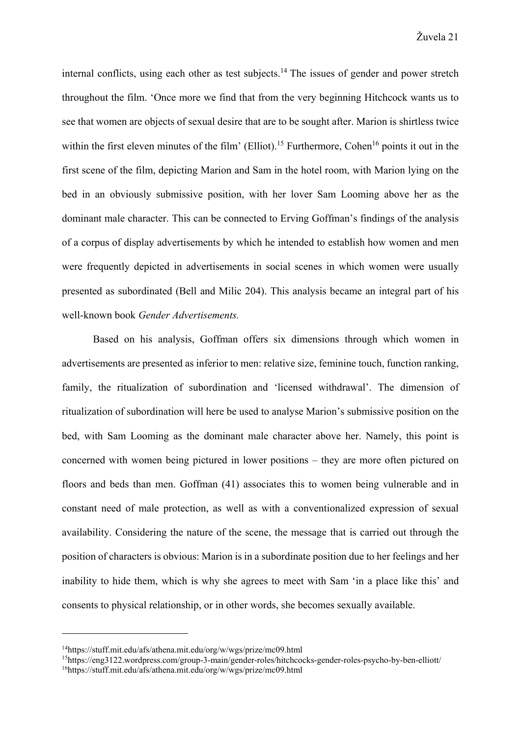internal conflicts, using each other as test subjects.<sup>14</sup> The issues of gender and power stretch throughout the film. 'Once more we find that from the very beginning Hitchcock wants us to see that women are objects of sexual desire that are to be sought after. Marion is shirtless twice within the first eleven minutes of the film' (Elliot).<sup>15</sup> Furthermore, Cohen<sup>16</sup> points it out in the first scene of the film, depicting Marion and Sam in the hotel room, with Marion lying on the bed in an obviously submissive position, with her lover Sam Looming above her as the dominant male character. This can be connected to Erving Goffman's findings of the analysis of a corpus of display advertisements by which he intended to establish how women and men were frequently depicted in advertisements in social scenes in which women were usually presented as subordinated (Bell and Milic 204). This analysis became an integral part of his well-known book *Gender Advertisements.*

 Based on his analysis, Goffman offers six dimensions through which women in advertisements are presented as inferior to men: relative size, feminine touch, function ranking, family, the ritualization of subordination and 'licensed withdrawal'. The dimension of ritualization of subordination will here be used to analyse Marion's submissive position on the bed, with Sam Looming as the dominant male character above her. Namely, this point is concerned with women being pictured in lower positions – they are more often pictured on floors and beds than men. Goffman (41) associates this to women being vulnerable and in constant need of male protection, as well as with a conventionalized expression of sexual availability. Considering the nature of the scene, the message that is carried out through the position of characters is obvious: Marion is in a subordinate position due to her feelings and her inability to hide them, which is why she agrees to meet with Sam 'in a place like this' and consents to physical relationship, or in other words, she becomes sexually available.

<u>.</u>

<sup>14</sup>https://stuff.mit.edu/afs/athena.mit.edu/org/w/wgs/prize/mc09.html

<sup>15</sup>https://eng3122.wordpress.com/group-3-main/gender-roles/hitchcocks-gender-roles-psycho-by-ben-elliott/  $16$ https://stuff.mit.edu/afs/athena.mit.edu/org/w/wgs/prize/mc09.html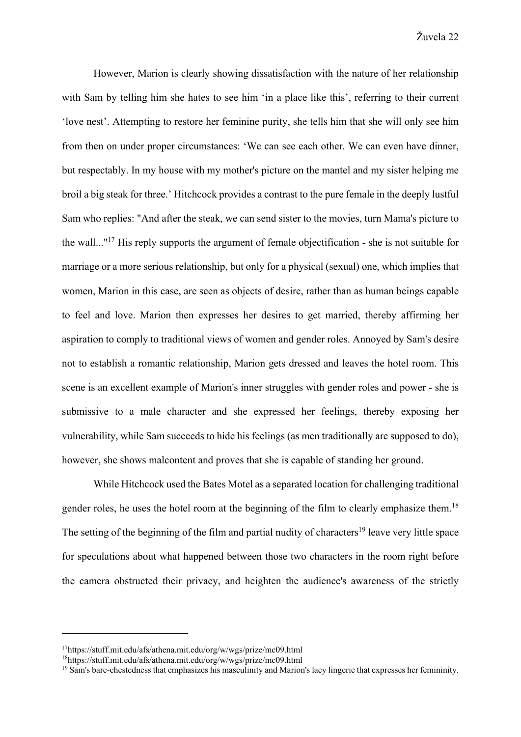However, Marion is clearly showing dissatisfaction with the nature of her relationship with Sam by telling him she hates to see him 'in a place like this', referring to their current 'love nest'. Attempting to restore her feminine purity, she tells him that she will only see him from then on under proper circumstances: 'We can see each other. We can even have dinner, but respectably. In my house with my mother's picture on the mantel and my sister helping me broil a big steak for three.' Hitchcock provides a contrast to the pure female in the deeply lustful Sam who replies: "And after the steak, we can send sister to the movies, turn Mama's picture to the wall..."17 His reply supports the argument of female objectification - she is not suitable for marriage or a more serious relationship, but only for a physical (sexual) one, which implies that women, Marion in this case, are seen as objects of desire, rather than as human beings capable to feel and love. Marion then expresses her desires to get married, thereby affirming her aspiration to comply to traditional views of women and gender roles. Annoyed by Sam's desire not to establish a romantic relationship, Marion gets dressed and leaves the hotel room. This scene is an excellent example of Marion's inner struggles with gender roles and power - she is submissive to a male character and she expressed her feelings, thereby exposing her vulnerability, while Sam succeeds to hide his feelings (as men traditionally are supposed to do), however, she shows malcontent and proves that she is capable of standing her ground.

While Hitchcock used the Bates Motel as a separated location for challenging traditional gender roles, he uses the hotel room at the beginning of the film to clearly emphasize them.<sup>18</sup> The setting of the beginning of the film and partial nudity of characters<sup>19</sup> leave very little space for speculations about what happened between those two characters in the room right before the camera obstructed their privacy, and heighten the audience's awareness of the strictly

<u>.</u>

<sup>17</sup>https://stuff.mit.edu/afs/athena.mit.edu/org/w/wgs/prize/mc09.html

<sup>18</sup>https://stuff.mit.edu/afs/athena.mit.edu/org/w/wgs/prize/mc09.html

<sup>&</sup>lt;sup>19</sup> Sam's bare-chestedness that emphasizes his masculinity and Marion's lacy lingerie that expresses her femininity.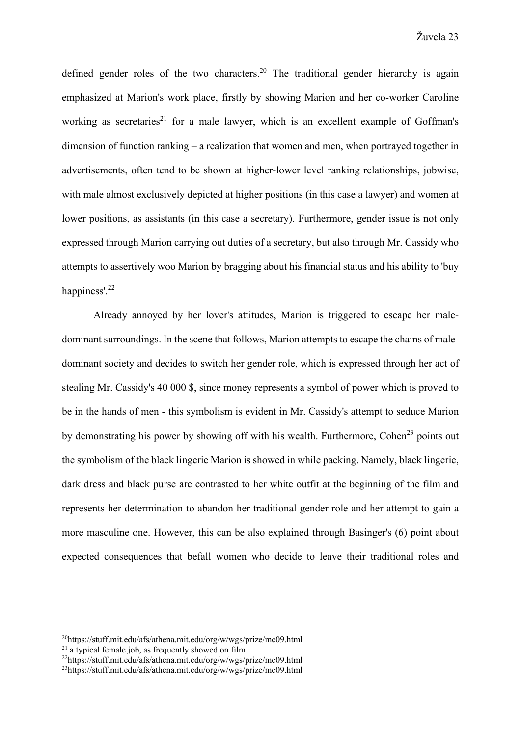defined gender roles of the two characters.<sup>20</sup> The traditional gender hierarchy is again emphasized at Marion's work place, firstly by showing Marion and her co-worker Caroline working as secretaries<sup>21</sup> for a male lawyer, which is an excellent example of Goffman's dimension of function ranking – a realization that women and men, when portrayed together in advertisements, often tend to be shown at higher-lower level ranking relationships, jobwise, with male almost exclusively depicted at higher positions (in this case a lawyer) and women at lower positions, as assistants (in this case a secretary). Furthermore, gender issue is not only expressed through Marion carrying out duties of a secretary, but also through Mr. Cassidy who attempts to assertively woo Marion by bragging about his financial status and his ability to 'buy happiness'.22

Already annoyed by her lover's attitudes, Marion is triggered to escape her maledominant surroundings. In the scene that follows, Marion attempts to escape the chains of maledominant society and decides to switch her gender role, which is expressed through her act of stealing Mr. Cassidy's 40 000 \$, since money represents a symbol of power which is proved to be in the hands of men - this symbolism is evident in Mr. Cassidy's attempt to seduce Marion by demonstrating his power by showing off with his wealth. Furthermore, Cohen<sup>23</sup> points out the symbolism of the black lingerie Marion is showed in while packing. Namely, black lingerie, dark dress and black purse are contrasted to her white outfit at the beginning of the film and represents her determination to abandon her traditional gender role and her attempt to gain a more masculine one. However, this can be also explained through Basinger's (6) point about expected consequences that befall women who decide to leave their traditional roles and

<sup>&</sup>lt;sup>20</sup>https://stuff.mit.edu/afs/athena.mit.edu/org/w/wgs/prize/mc09.html<br>
<sup>21</sup> a typical female job, as frequently showed on film<br>
<sup>22</sup>https://stuff.mit.edu/afs/athena.mit.edu/org/w/wgs/prize/mc09.html

 $^{23}$ https://stuff.mit.edu/afs/athena.mit.edu/org/w/wgs/prize/mc09.html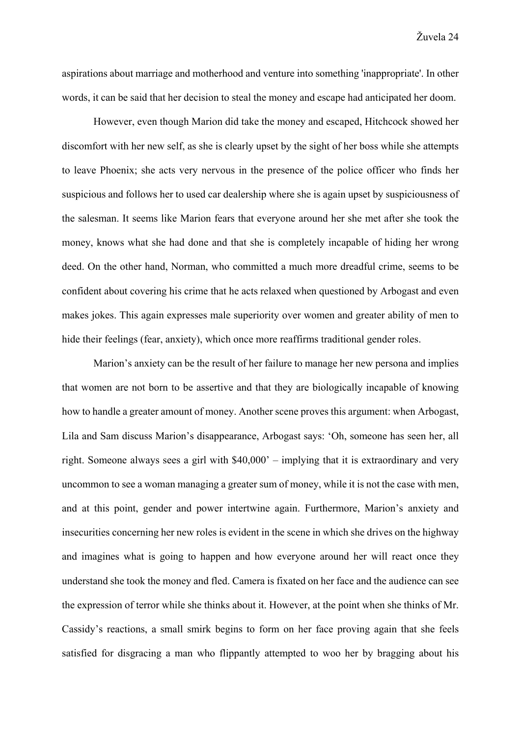aspirations about marriage and motherhood and venture into something 'inappropriate'. In other words, it can be said that her decision to steal the money and escape had anticipated her doom.

However, even though Marion did take the money and escaped, Hitchcock showed her discomfort with her new self, as she is clearly upset by the sight of her boss while she attempts to leave Phoenix; she acts very nervous in the presence of the police officer who finds her suspicious and follows her to used car dealership where she is again upset by suspiciousness of the salesman. It seems like Marion fears that everyone around her she met after she took the money, knows what she had done and that she is completely incapable of hiding her wrong deed. On the other hand, Norman, who committed a much more dreadful crime, seems to be confident about covering his crime that he acts relaxed when questioned by Arbogast and even makes jokes. This again expresses male superiority over women and greater ability of men to hide their feelings (fear, anxiety), which once more reaffirms traditional gender roles.

Marion's anxiety can be the result of her failure to manage her new persona and implies that women are not born to be assertive and that they are biologically incapable of knowing how to handle a greater amount of money. Another scene proves this argument: when Arbogast, Lila and Sam discuss Marion's disappearance, Arbogast says: 'Oh, someone has seen her, all right. Someone always sees a girl with \$40,000' – implying that it is extraordinary and very uncommon to see a woman managing a greater sum of money, while it is not the case with men, and at this point, gender and power intertwine again. Furthermore, Marion's anxiety and insecurities concerning her new roles is evident in the scene in which she drives on the highway and imagines what is going to happen and how everyone around her will react once they understand she took the money and fled. Camera is fixated on her face and the audience can see the expression of terror while she thinks about it. However, at the point when she thinks of Mr. Cassidy's reactions, a small smirk begins to form on her face proving again that she feels satisfied for disgracing a man who flippantly attempted to woo her by bragging about his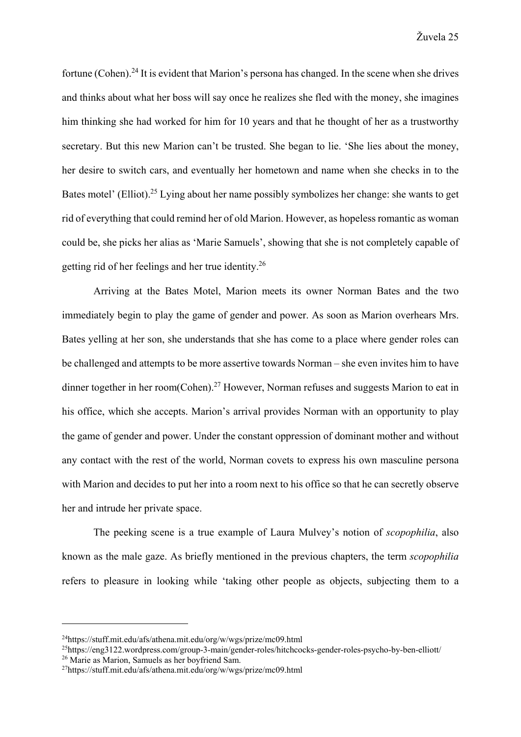fortune (Cohen).<sup>24</sup> It is evident that Marion's persona has changed. In the scene when she drives and thinks about what her boss will say once he realizes she fled with the money, she imagines him thinking she had worked for him for 10 years and that he thought of her as a trustworthy secretary. But this new Marion can't be trusted. She began to lie. 'She lies about the money, her desire to switch cars, and eventually her hometown and name when she checks in to the Bates motel' (Elliot).<sup>25</sup> Lying about her name possibly symbolizes her change: she wants to get rid of everything that could remind her of old Marion. However, as hopeless romantic as woman could be, she picks her alias as 'Marie Samuels', showing that she is not completely capable of getting rid of her feelings and her true identity.26

Arriving at the Bates Motel, Marion meets its owner Norman Bates and the two immediately begin to play the game of gender and power. As soon as Marion overhears Mrs. Bates yelling at her son, she understands that she has come to a place where gender roles can be challenged and attempts to be more assertive towards Norman – she even invites him to have dinner together in her room(Cohen).<sup>27</sup> However, Norman refuses and suggests Marion to eat in his office, which she accepts. Marion's arrival provides Norman with an opportunity to play the game of gender and power. Under the constant oppression of dominant mother and without any contact with the rest of the world, Norman covets to express his own masculine persona with Marion and decides to put her into a room next to his office so that he can secretly observe her and intrude her private space.

The peeking scene is a true example of Laura Mulvey's notion of *scopophilia*, also known as the male gaze. As briefly mentioned in the previous chapters, the term *scopophilia*  refers to pleasure in looking while 'taking other people as objects, subjecting them to a

 $^{24}$ https://stuff.mit.edu/afs/athena.mit.edu/org/w/wgs/prize/mc09.html

<sup>25</sup>https://eng3122.wordpress.com/group-3-main/gender-roles/hitchcocks-gender-roles-psycho-by-ben-elliott/ 26 Marie as Marion, Samuels as her boyfriend Sam.

 $^{27}$ https://stuff.mit.edu/afs/athena.mit.edu/org/w/wgs/prize/mc09.html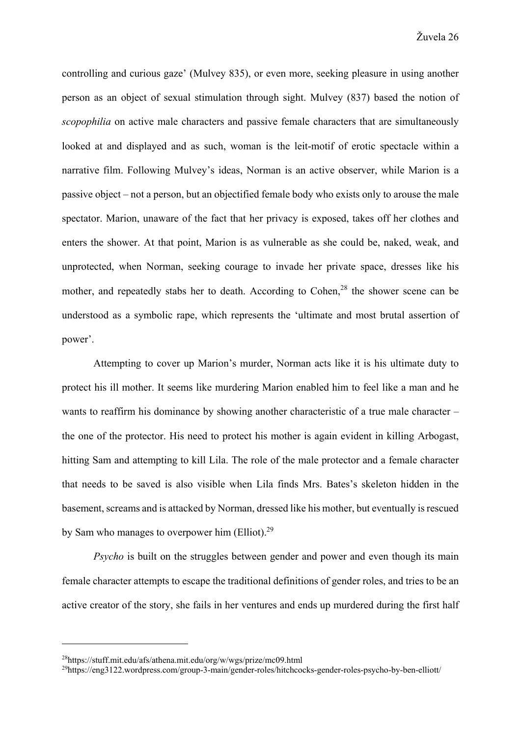controlling and curious gaze' (Mulvey 835), or even more, seeking pleasure in using another person as an object of sexual stimulation through sight. Mulvey (837) based the notion of *scopophilia* on active male characters and passive female characters that are simultaneously looked at and displayed and as such, woman is the leit-motif of erotic spectacle within a narrative film. Following Mulvey's ideas, Norman is an active observer, while Marion is a passive object – not a person, but an objectified female body who exists only to arouse the male spectator. Marion, unaware of the fact that her privacy is exposed, takes off her clothes and enters the shower. At that point, Marion is as vulnerable as she could be, naked, weak, and unprotected, when Norman, seeking courage to invade her private space, dresses like his mother, and repeatedly stabs her to death. According to Cohen,<sup>28</sup> the shower scene can be understood as a symbolic rape, which represents the 'ultimate and most brutal assertion of power'.

Attempting to cover up Marion's murder, Norman acts like it is his ultimate duty to protect his ill mother. It seems like murdering Marion enabled him to feel like a man and he wants to reaffirm his dominance by showing another characteristic of a true male character – the one of the protector. His need to protect his mother is again evident in killing Arbogast, hitting Sam and attempting to kill Lila. The role of the male protector and a female character that needs to be saved is also visible when Lila finds Mrs. Bates's skeleton hidden in the basement, screams and is attacked by Norman, dressed like his mother, but eventually is rescued by Sam who manages to overpower him (Elliot).<sup>29</sup>

*Psycho* is built on the struggles between gender and power and even though its main female character attempts to escape the traditional definitions of gender roles, and tries to be an active creator of the story, she fails in her ventures and ends up murdered during the first half

<sup>28</sup>https://stuff.mit.edu/afs/athena.mit.edu/org/w/wgs/prize/mc09.html

<sup>29</sup>https://eng3122.wordpress.com/group-3-main/gender-roles/hitchcocks-gender-roles-psycho-by-ben-elliott/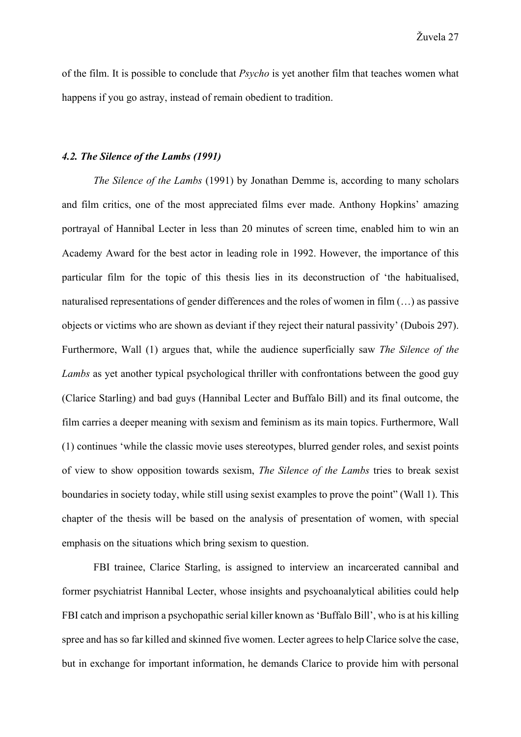of the film. It is possible to conclude that *Psycho* is yet another film that teaches women what happens if you go astray, instead of remain obedient to tradition.

#### *4.2. The Silence of the Lambs (1991)*

*The Silence of the Lambs* (1991) by Jonathan Demme is, according to many scholars and film critics, one of the most appreciated films ever made. Anthony Hopkins' amazing portrayal of Hannibal Lecter in less than 20 minutes of screen time, enabled him to win an Academy Award for the best actor in leading role in 1992. However, the importance of this particular film for the topic of this thesis lies in its deconstruction of 'the habitualised, naturalised representations of gender differences and the roles of women in film (…) as passive objects or victims who are shown as deviant if they reject their natural passivity' (Dubois 297). Furthermore, Wall (1) argues that, while the audience superficially saw *The Silence of the Lambs* as yet another typical psychological thriller with confrontations between the good guy (Clarice Starling) and bad guys (Hannibal Lecter and Buffalo Bill) and its final outcome, the film carries a deeper meaning with sexism and feminism as its main topics. Furthermore, Wall (1) continues 'while the classic movie uses stereotypes, blurred gender roles, and sexist points of view to show opposition towards sexism, *The Silence of the Lambs* tries to break sexist boundaries in society today, while still using sexist examples to prove the point" (Wall 1). This chapter of the thesis will be based on the analysis of presentation of women, with special emphasis on the situations which bring sexism to question.

FBI trainee, Clarice Starling, is assigned to interview an incarcerated cannibal and former psychiatrist Hannibal Lecter, whose insights and psychoanalytical abilities could help FBI catch and imprison a psychopathic serial killer known as 'Buffalo Bill', who is at his killing spree and has so far killed and skinned five women. Lecter agrees to help Clarice solve the case, but in exchange for important information, he demands Clarice to provide him with personal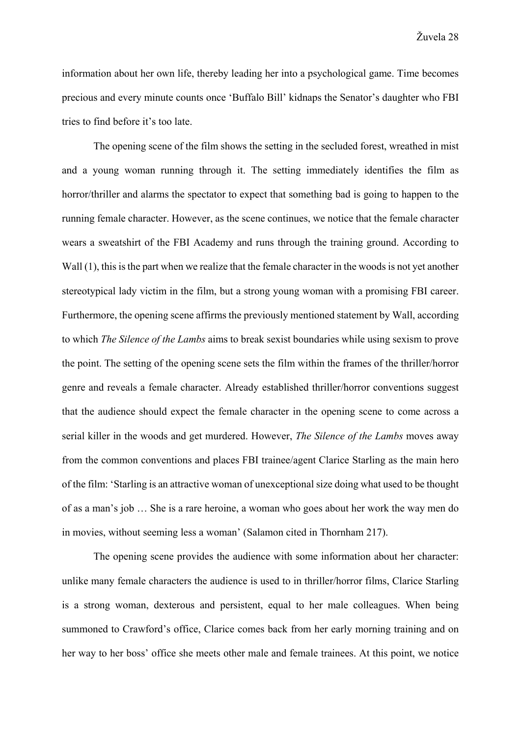information about her own life, thereby leading her into a psychological game. Time becomes precious and every minute counts once 'Buffalo Bill' kidnaps the Senator's daughter who FBI tries to find before it's too late.

The opening scene of the film shows the setting in the secluded forest, wreathed in mist and a young woman running through it. The setting immediately identifies the film as horror/thriller and alarms the spectator to expect that something bad is going to happen to the running female character. However, as the scene continues, we notice that the female character wears a sweatshirt of the FBI Academy and runs through the training ground. According to Wall  $(1)$ , this is the part when we realize that the female character in the woods is not yet another stereotypical lady victim in the film, but a strong young woman with a promising FBI career. Furthermore, the opening scene affirms the previously mentioned statement by Wall, according to which *The Silence of the Lambs* aims to break sexist boundaries while using sexism to prove the point. The setting of the opening scene sets the film within the frames of the thriller/horror genre and reveals a female character. Already established thriller/horror conventions suggest that the audience should expect the female character in the opening scene to come across a serial killer in the woods and get murdered. However, *The Silence of the Lambs* moves away from the common conventions and places FBI trainee/agent Clarice Starling as the main hero of the film: 'Starling is an attractive woman of unexceptional size doing what used to be thought of as a man's job … She is a rare heroine, a woman who goes about her work the way men do in movies, without seeming less a woman' (Salamon cited in Thornham 217).

The opening scene provides the audience with some information about her character: unlike many female characters the audience is used to in thriller/horror films, Clarice Starling is a strong woman, dexterous and persistent, equal to her male colleagues. When being summoned to Crawford's office, Clarice comes back from her early morning training and on her way to her boss' office she meets other male and female trainees. At this point, we notice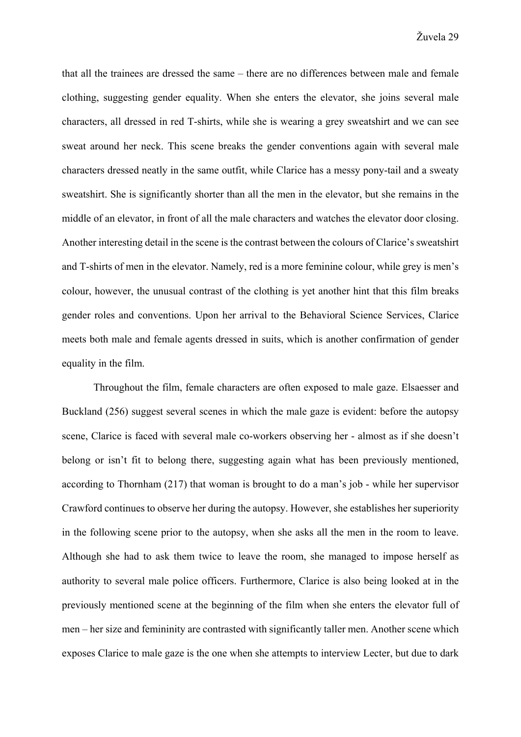that all the trainees are dressed the same – there are no differences between male and female clothing, suggesting gender equality. When she enters the elevator, she joins several male characters, all dressed in red T-shirts, while she is wearing a grey sweatshirt and we can see sweat around her neck. This scene breaks the gender conventions again with several male characters dressed neatly in the same outfit, while Clarice has a messy pony-tail and a sweaty sweatshirt. She is significantly shorter than all the men in the elevator, but she remains in the middle of an elevator, in front of all the male characters and watches the elevator door closing. Another interesting detail in the scene is the contrast between the colours of Clarice's sweatshirt and T-shirts of men in the elevator. Namely, red is a more feminine colour, while grey is men's colour, however, the unusual contrast of the clothing is yet another hint that this film breaks gender roles and conventions. Upon her arrival to the Behavioral Science Services, Clarice meets both male and female agents dressed in suits, which is another confirmation of gender equality in the film.

Throughout the film, female characters are often exposed to male gaze. Elsaesser and Buckland (256) suggest several scenes in which the male gaze is evident: before the autopsy scene, Clarice is faced with several male co-workers observing her - almost as if she doesn't belong or isn't fit to belong there, suggesting again what has been previously mentioned, according to Thornham (217) that woman is brought to do a man's job - while her supervisor Crawford continues to observe her during the autopsy. However, she establishes her superiority in the following scene prior to the autopsy, when she asks all the men in the room to leave. Although she had to ask them twice to leave the room, she managed to impose herself as authority to several male police officers. Furthermore, Clarice is also being looked at in the previously mentioned scene at the beginning of the film when she enters the elevator full of men – her size and femininity are contrasted with significantly taller men. Another scene which exposes Clarice to male gaze is the one when she attempts to interview Lecter, but due to dark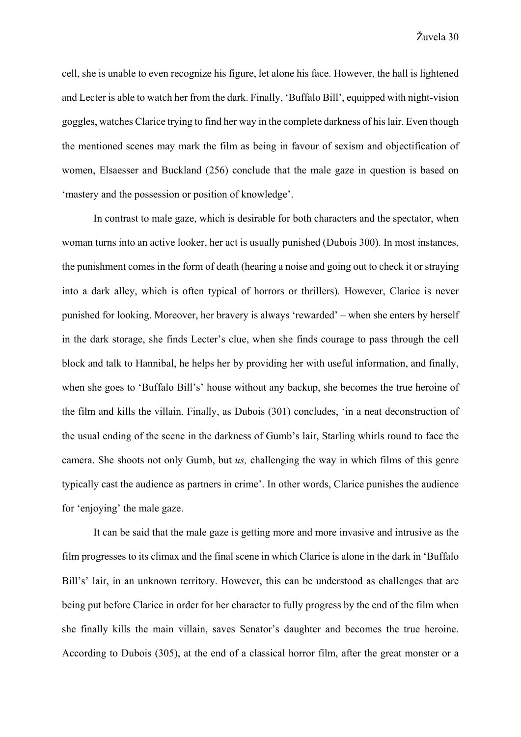cell, she is unable to even recognize his figure, let alone his face. However, the hall is lightened and Lecter is able to watch her from the dark. Finally, 'Buffalo Bill', equipped with night-vision goggles, watches Clarice trying to find her way in the complete darkness of his lair. Even though the mentioned scenes may mark the film as being in favour of sexism and objectification of women, Elsaesser and Buckland (256) conclude that the male gaze in question is based on 'mastery and the possession or position of knowledge'.

In contrast to male gaze, which is desirable for both characters and the spectator, when woman turns into an active looker, her act is usually punished (Dubois 300). In most instances, the punishment comes in the form of death (hearing a noise and going out to check it or straying into a dark alley, which is often typical of horrors or thrillers). However, Clarice is never punished for looking. Moreover, her bravery is always 'rewarded' – when she enters by herself in the dark storage, she finds Lecter's clue, when she finds courage to pass through the cell block and talk to Hannibal, he helps her by providing her with useful information, and finally, when she goes to 'Buffalo Bill's' house without any backup, she becomes the true heroine of the film and kills the villain. Finally, as Dubois (301) concludes, 'in a neat deconstruction of the usual ending of the scene in the darkness of Gumb's lair, Starling whirls round to face the camera. She shoots not only Gumb, but *us,* challenging the way in which films of this genre typically cast the audience as partners in crime'. In other words, Clarice punishes the audience for 'enjoying' the male gaze.

It can be said that the male gaze is getting more and more invasive and intrusive as the film progresses to its climax and the final scene in which Clarice is alone in the dark in 'Buffalo Bill's' lair, in an unknown territory. However, this can be understood as challenges that are being put before Clarice in order for her character to fully progress by the end of the film when she finally kills the main villain, saves Senator's daughter and becomes the true heroine. According to Dubois (305), at the end of a classical horror film, after the great monster or a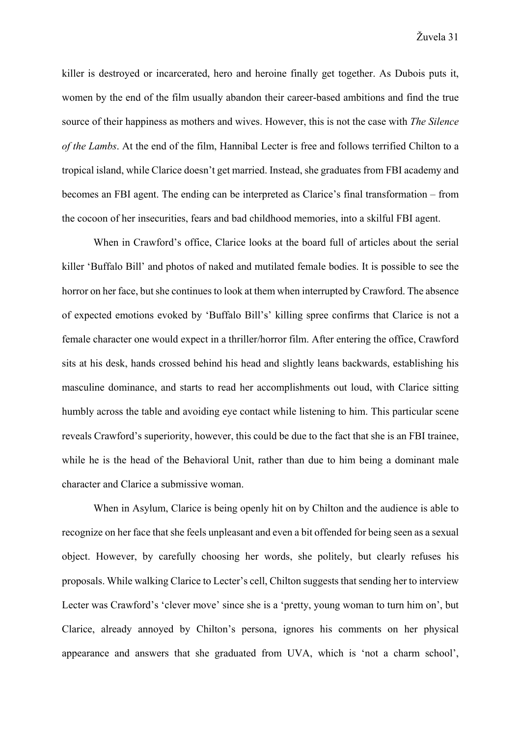killer is destroyed or incarcerated, hero and heroine finally get together. As Dubois puts it, women by the end of the film usually abandon their career-based ambitions and find the true source of their happiness as mothers and wives. However, this is not the case with *The Silence of the Lambs*. At the end of the film, Hannibal Lecter is free and follows terrified Chilton to a tropical island, while Clarice doesn't get married. Instead, she graduates from FBI academy and becomes an FBI agent. The ending can be interpreted as Clarice's final transformation – from the cocoon of her insecurities, fears and bad childhood memories, into a skilful FBI agent.

When in Crawford's office, Clarice looks at the board full of articles about the serial killer 'Buffalo Bill' and photos of naked and mutilated female bodies. It is possible to see the horror on her face, but she continues to look at them when interrupted by Crawford. The absence of expected emotions evoked by 'Buffalo Bill's' killing spree confirms that Clarice is not a female character one would expect in a thriller/horror film. After entering the office, Crawford sits at his desk, hands crossed behind his head and slightly leans backwards, establishing his masculine dominance, and starts to read her accomplishments out loud, with Clarice sitting humbly across the table and avoiding eye contact while listening to him. This particular scene reveals Crawford's superiority, however, this could be due to the fact that she is an FBI trainee, while he is the head of the Behavioral Unit, rather than due to him being a dominant male character and Clarice a submissive woman.

When in Asylum, Clarice is being openly hit on by Chilton and the audience is able to recognize on her face that she feels unpleasant and even a bit offended for being seen as a sexual object. However, by carefully choosing her words, she politely, but clearly refuses his proposals. While walking Clarice to Lecter's cell, Chilton suggests that sending her to interview Lecter was Crawford's 'clever move' since she is a 'pretty, young woman to turn him on', but Clarice, already annoyed by Chilton's persona, ignores his comments on her physical appearance and answers that she graduated from UVA, which is 'not a charm school',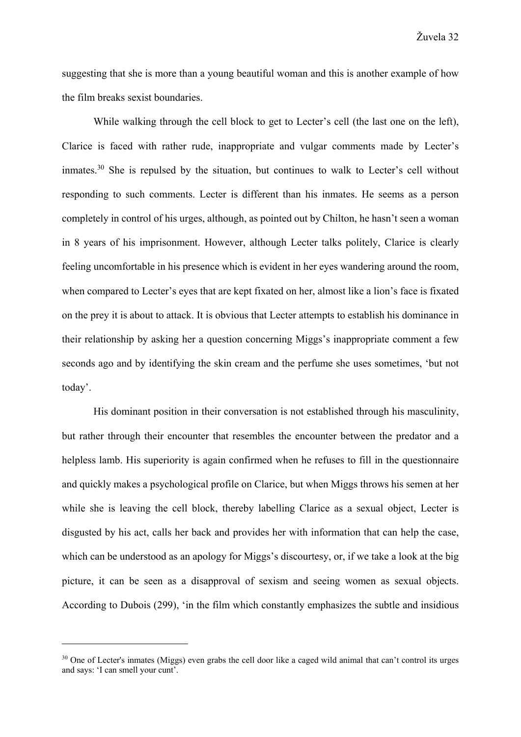suggesting that she is more than a young beautiful woman and this is another example of how the film breaks sexist boundaries.

While walking through the cell block to get to Lecter's cell (the last one on the left), Clarice is faced with rather rude, inappropriate and vulgar comments made by Lecter's inmates.30 She is repulsed by the situation, but continues to walk to Lecter's cell without responding to such comments. Lecter is different than his inmates. He seems as a person completely in control of his urges, although, as pointed out by Chilton, he hasn't seen a woman in 8 years of his imprisonment. However, although Lecter talks politely, Clarice is clearly feeling uncomfortable in his presence which is evident in her eyes wandering around the room, when compared to Lecter's eyes that are kept fixated on her, almost like a lion's face is fixated on the prey it is about to attack. It is obvious that Lecter attempts to establish his dominance in their relationship by asking her a question concerning Miggs's inappropriate comment a few seconds ago and by identifying the skin cream and the perfume she uses sometimes, 'but not today'.

His dominant position in their conversation is not established through his masculinity, but rather through their encounter that resembles the encounter between the predator and a helpless lamb. His superiority is again confirmed when he refuses to fill in the questionnaire and quickly makes a psychological profile on Clarice, but when Miggs throws his semen at her while she is leaving the cell block, thereby labelling Clarice as a sexual object, Lecter is disgusted by his act, calls her back and provides her with information that can help the case, which can be understood as an apology for Miggs's discourtesy, or, if we take a look at the big picture, it can be seen as a disapproval of sexism and seeing women as sexual objects. According to Dubois (299), 'in the film which constantly emphasizes the subtle and insidious

<sup>&</sup>lt;sup>30</sup> One of Lecter's inmates (Miggs) even grabs the cell door like a caged wild animal that can't control its urges and says: 'I can smell your cunt'.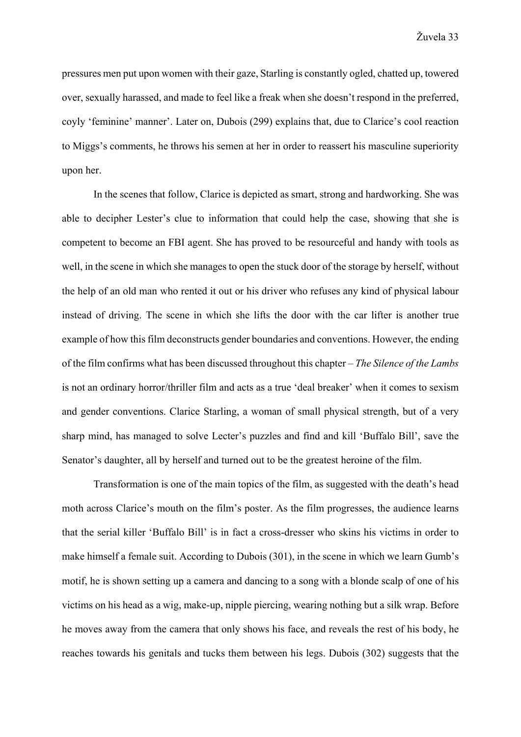pressures men put upon women with their gaze, Starling is constantly ogled, chatted up, towered over, sexually harassed, and made to feel like a freak when she doesn't respond in the preferred, coyly 'feminine' manner'. Later on, Dubois (299) explains that, due to Clarice's cool reaction to Miggs's comments, he throws his semen at her in order to reassert his masculine superiority upon her.

In the scenes that follow, Clarice is depicted as smart, strong and hardworking. She was able to decipher Lester's clue to information that could help the case, showing that she is competent to become an FBI agent. She has proved to be resourceful and handy with tools as well, in the scene in which she manages to open the stuck door of the storage by herself, without the help of an old man who rented it out or his driver who refuses any kind of physical labour instead of driving. The scene in which she lifts the door with the car lifter is another true example of how this film deconstructs gender boundaries and conventions. However, the ending of the film confirms what has been discussed throughout this chapter – *The Silence of the Lambs*  is not an ordinary horror/thriller film and acts as a true 'deal breaker' when it comes to sexism and gender conventions. Clarice Starling, a woman of small physical strength, but of a very sharp mind, has managed to solve Lecter's puzzles and find and kill 'Buffalo Bill', save the Senator's daughter, all by herself and turned out to be the greatest heroine of the film.

Transformation is one of the main topics of the film, as suggested with the death's head moth across Clarice's mouth on the film's poster. As the film progresses, the audience learns that the serial killer 'Buffalo Bill' is in fact a cross-dresser who skins his victims in order to make himself a female suit. According to Dubois (301), in the scene in which we learn Gumb's motif, he is shown setting up a camera and dancing to a song with a blonde scalp of one of his victims on his head as a wig, make-up, nipple piercing, wearing nothing but a silk wrap. Before he moves away from the camera that only shows his face, and reveals the rest of his body, he reaches towards his genitals and tucks them between his legs. Dubois (302) suggests that the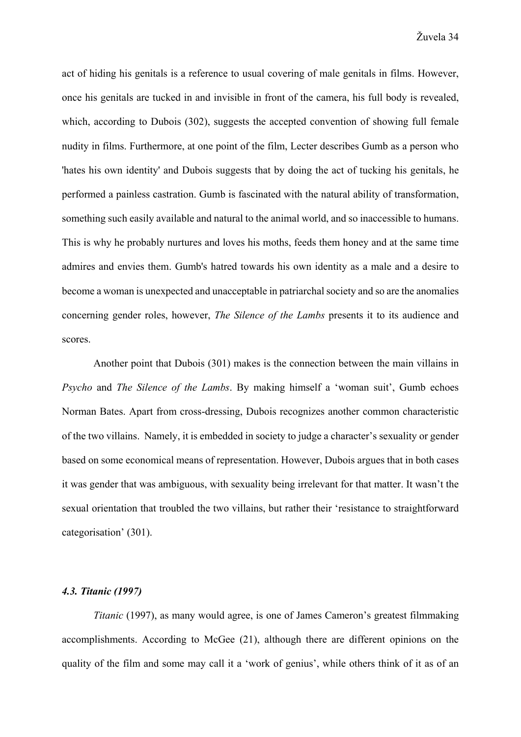act of hiding his genitals is a reference to usual covering of male genitals in films. However, once his genitals are tucked in and invisible in front of the camera, his full body is revealed, which, according to Dubois (302), suggests the accepted convention of showing full female nudity in films. Furthermore, at one point of the film, Lecter describes Gumb as a person who 'hates his own identity' and Dubois suggests that by doing the act of tucking his genitals, he performed a painless castration. Gumb is fascinated with the natural ability of transformation, something such easily available and natural to the animal world, and so inaccessible to humans. This is why he probably nurtures and loves his moths, feeds them honey and at the same time admires and envies them. Gumb's hatred towards his own identity as a male and a desire to become a woman is unexpected and unacceptable in patriarchal society and so are the anomalies concerning gender roles, however, *The Silence of the Lambs* presents it to its audience and scores.

Another point that Dubois (301) makes is the connection between the main villains in *Psycho* and *The Silence of the Lambs*. By making himself a 'woman suit', Gumb echoes Norman Bates. Apart from cross-dressing, Dubois recognizes another common characteristic of the two villains. Namely, it is embedded in society to judge a character's sexuality or gender based on some economical means of representation. However, Dubois argues that in both cases it was gender that was ambiguous, with sexuality being irrelevant for that matter. It wasn't the sexual orientation that troubled the two villains, but rather their 'resistance to straightforward categorisation' (301).

#### *4.3. Titanic (1997)*

*Titanic* (1997), as many would agree, is one of James Cameron's greatest filmmaking accomplishments. According to McGee (21), although there are different opinions on the quality of the film and some may call it a 'work of genius', while others think of it as of an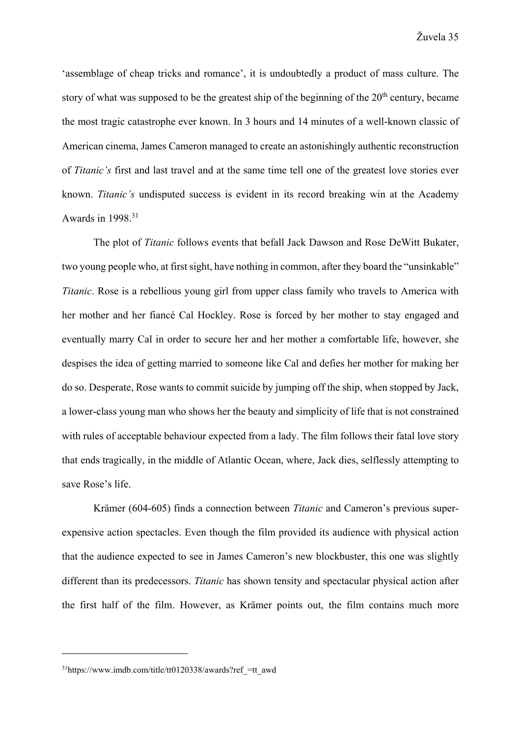'assemblage of cheap tricks and romance', it is undoubtedly a product of mass culture. The story of what was supposed to be the greatest ship of the beginning of the  $20<sup>th</sup>$  century, became the most tragic catastrophe ever known. In 3 hours and 14 minutes of a well-known classic of American cinema, James Cameron managed to create an astonishingly authentic reconstruction of *Titanic's* first and last travel and at the same time tell one of the greatest love stories ever known. *Titanic's* undisputed success is evident in its record breaking win at the Academy Awards in  $1998$ <sup>31</sup>

The plot of *Titanic* follows events that befall Jack Dawson and Rose DeWitt Bukater, two young people who, at first sight, have nothing in common, after they board the "unsinkable" *Titanic*. Rose is a rebellious young girl from upper class family who travels to America with her mother and her fiancé Cal Hockley. Rose is forced by her mother to stay engaged and eventually marry Cal in order to secure her and her mother a comfortable life, however, she despises the idea of getting married to someone like Cal and defies her mother for making her do so. Desperate, Rose wants to commit suicide by jumping off the ship, when stopped by Jack, a lower-class young man who shows her the beauty and simplicity of life that is not constrained with rules of acceptable behaviour expected from a lady. The film follows their fatal love story that ends tragically, in the middle of Atlantic Ocean, where, Jack dies, selflessly attempting to save Rose's life.

Krämer (604-605) finds a connection between *Titanic* and Cameron's previous superexpensive action spectacles. Even though the film provided its audience with physical action that the audience expected to see in James Cameron's new blockbuster, this one was slightly different than its predecessors. *Titanic* has shown tensity and spectacular physical action after the first half of the film. However, as Krämer points out, the film contains much more

 $31$ https://www.imdb.com/title/tt0120338/awards?ref=tt\_awd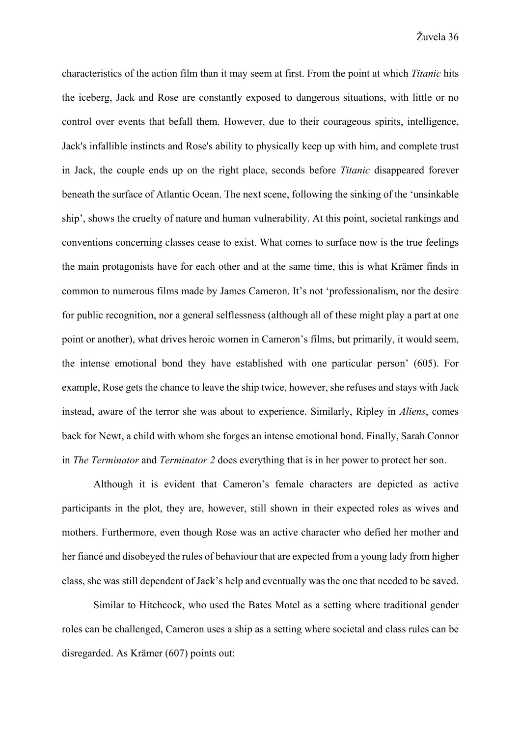characteristics of the action film than it may seem at first. From the point at which *Titanic* hits the iceberg, Jack and Rose are constantly exposed to dangerous situations, with little or no control over events that befall them. However, due to their courageous spirits, intelligence, Jack's infallible instincts and Rose's ability to physically keep up with him, and complete trust in Jack, the couple ends up on the right place, seconds before *Titanic* disappeared forever beneath the surface of Atlantic Ocean. The next scene, following the sinking of the 'unsinkable ship', shows the cruelty of nature and human vulnerability. At this point, societal rankings and conventions concerning classes cease to exist. What comes to surface now is the true feelings the main protagonists have for each other and at the same time, this is what Krämer finds in common to numerous films made by James Cameron. It's not 'professionalism, nor the desire for public recognition, nor a general selflessness (although all of these might play a part at one point or another), what drives heroic women in Cameron's films, but primarily, it would seem, the intense emotional bond they have established with one particular person' (605). For example, Rose gets the chance to leave the ship twice, however, she refuses and stays with Jack instead, aware of the terror she was about to experience. Similarly, Ripley in *Aliens*, comes back for Newt, a child with whom she forges an intense emotional bond. Finally, Sarah Connor in *The Terminator* and *Terminator 2* does everything that is in her power to protect her son.

Although it is evident that Cameron's female characters are depicted as active participants in the plot, they are, however, still shown in their expected roles as wives and mothers. Furthermore, even though Rose was an active character who defied her mother and her fiancé and disobeyed the rules of behaviour that are expected from a young lady from higher class, she was still dependent of Jack's help and eventually was the one that needed to be saved.

Similar to Hitchcock, who used the Bates Motel as a setting where traditional gender roles can be challenged, Cameron uses a ship as a setting where societal and class rules can be disregarded. As Krämer (607) points out: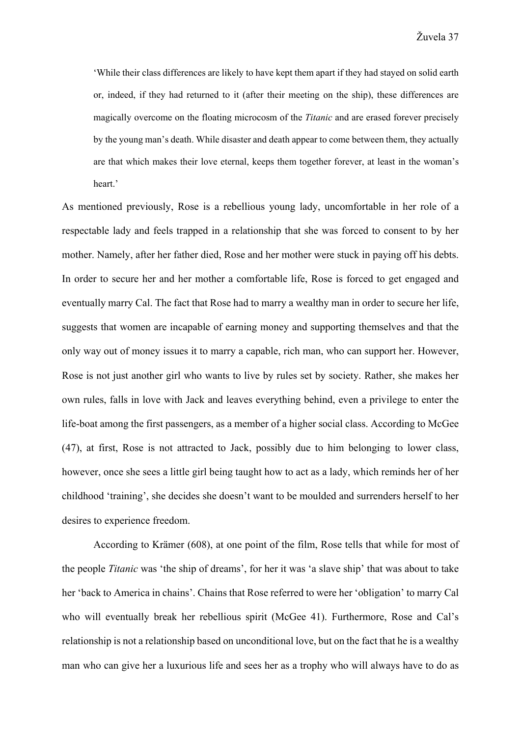'While their class differences are likely to have kept them apart if they had stayed on solid earth or, indeed, if they had returned to it (after their meeting on the ship), these differences are magically overcome on the floating microcosm of the *Titanic* and are erased forever precisely by the young man's death. While disaster and death appear to come between them, they actually are that which makes their love eternal, keeps them together forever, at least in the woman's heart.'

As mentioned previously, Rose is a rebellious young lady, uncomfortable in her role of a respectable lady and feels trapped in a relationship that she was forced to consent to by her mother. Namely, after her father died, Rose and her mother were stuck in paying off his debts. In order to secure her and her mother a comfortable life, Rose is forced to get engaged and eventually marry Cal. The fact that Rose had to marry a wealthy man in order to secure her life, suggests that women are incapable of earning money and supporting themselves and that the only way out of money issues it to marry a capable, rich man, who can support her. However, Rose is not just another girl who wants to live by rules set by society. Rather, she makes her own rules, falls in love with Jack and leaves everything behind, even a privilege to enter the life-boat among the first passengers, as a member of a higher social class. According to McGee (47), at first, Rose is not attracted to Jack, possibly due to him belonging to lower class, however, once she sees a little girl being taught how to act as a lady, which reminds her of her childhood 'training', she decides she doesn't want to be moulded and surrenders herself to her desires to experience freedom.

According to Krämer (608), at one point of the film, Rose tells that while for most of the people *Titanic* was 'the ship of dreams', for her it was 'a slave ship' that was about to take her 'back to America in chains'. Chains that Rose referred to were her 'obligation' to marry Cal who will eventually break her rebellious spirit (McGee 41). Furthermore, Rose and Cal's relationship is not a relationship based on unconditional love, but on the fact that he is a wealthy man who can give her a luxurious life and sees her as a trophy who will always have to do as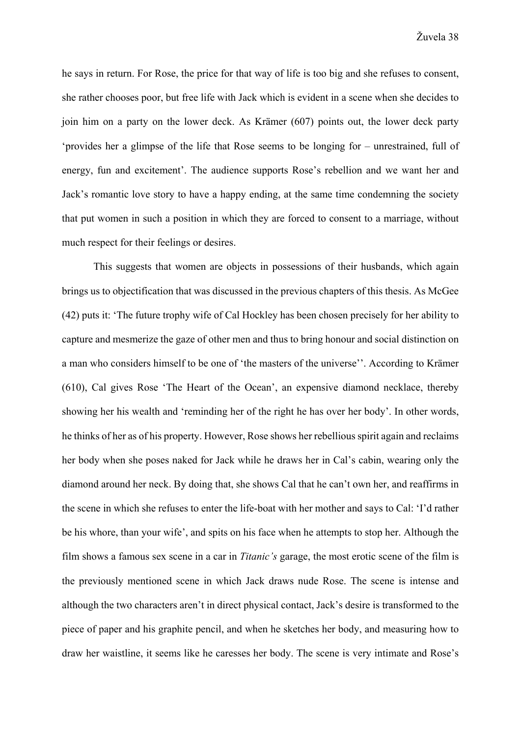he says in return. For Rose, the price for that way of life is too big and she refuses to consent, she rather chooses poor, but free life with Jack which is evident in a scene when she decides to join him on a party on the lower deck. As Krämer (607) points out, the lower deck party 'provides her a glimpse of the life that Rose seems to be longing for – unrestrained, full of energy, fun and excitement'. The audience supports Rose's rebellion and we want her and Jack's romantic love story to have a happy ending, at the same time condemning the society that put women in such a position in which they are forced to consent to a marriage, without much respect for their feelings or desires.

This suggests that women are objects in possessions of their husbands, which again brings us to objectification that was discussed in the previous chapters of this thesis. As McGee (42) puts it: 'The future trophy wife of Cal Hockley has been chosen precisely for her ability to capture and mesmerize the gaze of other men and thus to bring honour and social distinction on a man who considers himself to be one of 'the masters of the universe''. According to Krämer (610), Cal gives Rose 'The Heart of the Ocean', an expensive diamond necklace, thereby showing her his wealth and 'reminding her of the right he has over her body'. In other words, he thinks of her as of his property. However, Rose shows her rebellious spirit again and reclaims her body when she poses naked for Jack while he draws her in Cal's cabin, wearing only the diamond around her neck. By doing that, she shows Cal that he can't own her, and reaffirms in the scene in which she refuses to enter the life-boat with her mother and says to Cal: 'I'd rather be his whore, than your wife', and spits on his face when he attempts to stop her. Although the film shows a famous sex scene in a car in *Titanic's* garage, the most erotic scene of the film is the previously mentioned scene in which Jack draws nude Rose. The scene is intense and although the two characters aren't in direct physical contact, Jack's desire is transformed to the piece of paper and his graphite pencil, and when he sketches her body, and measuring how to draw her waistline, it seems like he caresses her body. The scene is very intimate and Rose's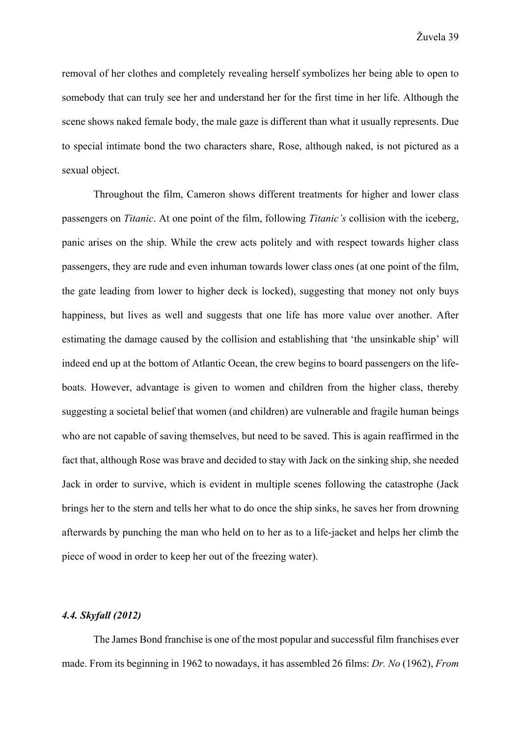removal of her clothes and completely revealing herself symbolizes her being able to open to somebody that can truly see her and understand her for the first time in her life. Although the scene shows naked female body, the male gaze is different than what it usually represents. Due to special intimate bond the two characters share, Rose, although naked, is not pictured as a sexual object.

Throughout the film, Cameron shows different treatments for higher and lower class passengers on *Titanic*. At one point of the film, following *Titanic's* collision with the iceberg, panic arises on the ship. While the crew acts politely and with respect towards higher class passengers, they are rude and even inhuman towards lower class ones (at one point of the film, the gate leading from lower to higher deck is locked), suggesting that money not only buys happiness, but lives as well and suggests that one life has more value over another. After estimating the damage caused by the collision and establishing that 'the unsinkable ship' will indeed end up at the bottom of Atlantic Ocean, the crew begins to board passengers on the lifeboats. However, advantage is given to women and children from the higher class, thereby suggesting a societal belief that women (and children) are vulnerable and fragile human beings who are not capable of saving themselves, but need to be saved. This is again reaffirmed in the fact that, although Rose was brave and decided to stay with Jack on the sinking ship, she needed Jack in order to survive, which is evident in multiple scenes following the catastrophe (Jack brings her to the stern and tells her what to do once the ship sinks, he saves her from drowning afterwards by punching the man who held on to her as to a life-jacket and helps her climb the piece of wood in order to keep her out of the freezing water).

#### *4.4. Skyfall (2012)*

The James Bond franchise is one of the most popular and successful film franchises ever made. From its beginning in 1962 to nowadays, it has assembled 26 films: *Dr. No* (1962), *From*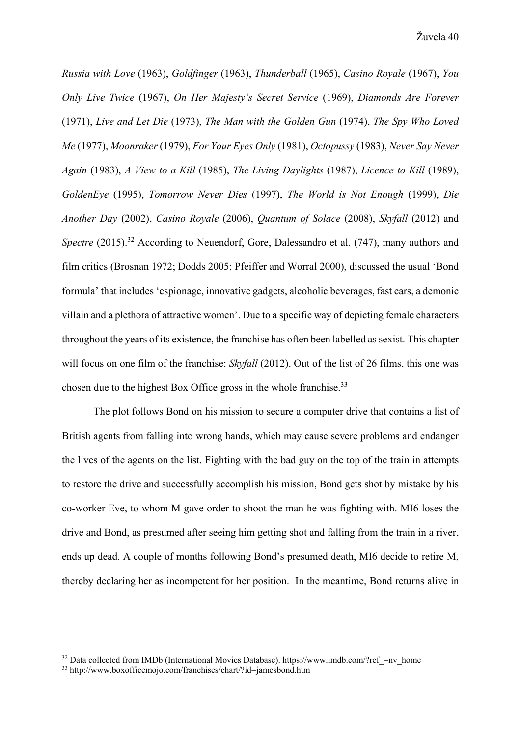*Russia with Love* (1963), *Goldfinger* (1963), *Thunderball* (1965), *Casino Royale* (1967), *You Only Live Twice* (1967), *On Her Majesty's Secret Service* (1969), *Diamonds Are Forever*  (1971), *Live and Let Die* (1973), *The Man with the Golden Gun* (1974), *The Spy Who Loved Me* (1977), *Moonraker* (1979), *For Your Eyes Only* (1981), *Octopussy* (1983), *Never Say Never Again* (1983), *A View to a Kill* (1985), *The Living Daylights* (1987), *Licence to Kill* (1989), *GoldenEye* (1995), *Tomorrow Never Dies* (1997), *The World is Not Enough* (1999), *Die Another Day* (2002), *Casino Royale* (2006), *Quantum of Solace* (2008), *Skyfall* (2012) and *Spectre* (2015).<sup>32</sup> According to Neuendorf, Gore, Dalessandro et al. (747), many authors and film critics (Brosnan 1972; Dodds 2005; Pfeiffer and Worral 2000), discussed the usual 'Bond formula' that includes 'espionage, innovative gadgets, alcoholic beverages, fast cars, a demonic villain and a plethora of attractive women'. Due to a specific way of depicting female characters throughout the years of its existence, the franchise has often been labelled as sexist. This chapter will focus on one film of the franchise: *Skyfall* (2012). Out of the list of 26 films, this one was chosen due to the highest Box Office gross in the whole franchise.<sup>33</sup>

The plot follows Bond on his mission to secure a computer drive that contains a list of British agents from falling into wrong hands, which may cause severe problems and endanger the lives of the agents on the list. Fighting with the bad guy on the top of the train in attempts to restore the drive and successfully accomplish his mission, Bond gets shot by mistake by his co-worker Eve, to whom M gave order to shoot the man he was fighting with. MI6 loses the drive and Bond, as presumed after seeing him getting shot and falling from the train in a river, ends up dead. A couple of months following Bond's presumed death, MI6 decide to retire M, thereby declaring her as incompetent for her position. In the meantime, Bond returns alive in

 $32$  Data collected from IMDb (International Movies Database). https://www.imdb.com/?ref =nv\_home

<sup>33</sup> http://www.boxofficemojo.com/franchises/chart/?id=jamesbond.htm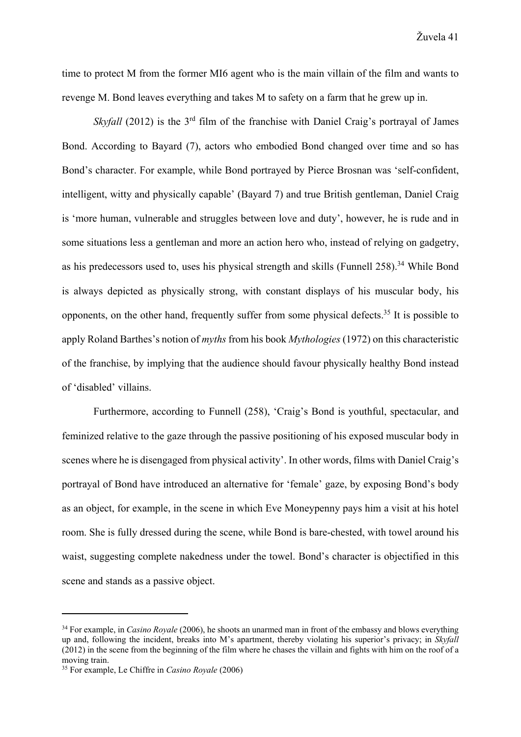time to protect M from the former MI6 agent who is the main villain of the film and wants to revenge M. Bond leaves everything and takes M to safety on a farm that he grew up in.

*Skyfall* (2012) is the 3<sup>rd</sup> film of the franchise with Daniel Craig's portrayal of James Bond. According to Bayard (7), actors who embodied Bond changed over time and so has Bond's character. For example, while Bond portrayed by Pierce Brosnan was 'self-confident, intelligent, witty and physically capable' (Bayard 7) and true British gentleman, Daniel Craig is 'more human, vulnerable and struggles between love and duty', however, he is rude and in some situations less a gentleman and more an action hero who, instead of relying on gadgetry, as his predecessors used to, uses his physical strength and skills (Funnell 258).<sup>34</sup> While Bond is always depicted as physically strong, with constant displays of his muscular body, his opponents, on the other hand, frequently suffer from some physical defects.<sup>35</sup> It is possible to apply Roland Barthes's notion of *myths* from his book *Mythologies* (1972) on this characteristic of the franchise, by implying that the audience should favour physically healthy Bond instead of 'disabled' villains.

Furthermore, according to Funnell (258), 'Craig's Bond is youthful, spectacular, and feminized relative to the gaze through the passive positioning of his exposed muscular body in scenes where he is disengaged from physical activity'. In other words, films with Daniel Craig's portrayal of Bond have introduced an alternative for 'female' gaze, by exposing Bond's body as an object, for example, in the scene in which Eve Moneypenny pays him a visit at his hotel room. She is fully dressed during the scene, while Bond is bare-chested, with towel around his waist, suggesting complete nakedness under the towel. Bond's character is objectified in this scene and stands as a passive object.

<sup>34</sup> For example, in *Casino Royale* (2006), he shoots an unarmed man in front of the embassy and blows everything up and, following the incident, breaks into M's apartment, thereby violating his superior's privacy; in *Skyfall*  (2012) in the scene from the beginning of the film where he chases the villain and fights with him on the roof of a moving train.

<sup>35</sup> For example, Le Chiffre in *Casino Royale* (2006)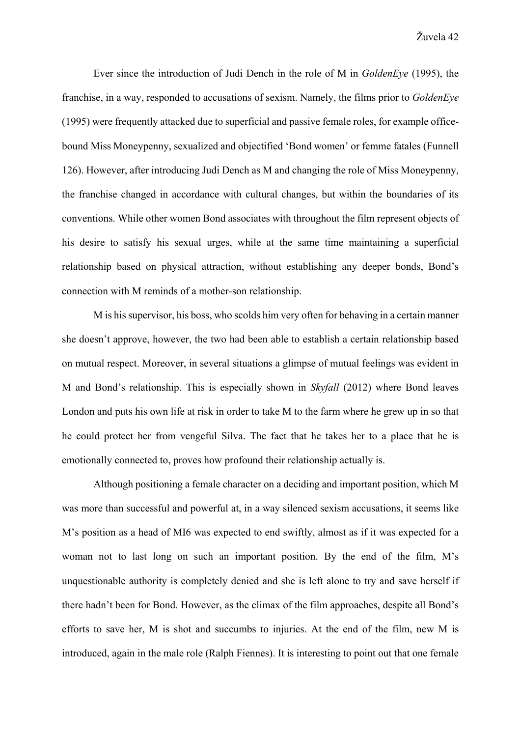Ever since the introduction of Judi Dench in the role of M in *GoldenEye* (1995), the franchise, in a way, responded to accusations of sexism. Namely, the films prior to *GoldenEye*  (1995) were frequently attacked due to superficial and passive female roles, for example officebound Miss Moneypenny, sexualized and objectified 'Bond women' or femme fatales (Funnell 126). However, after introducing Judi Dench as M and changing the role of Miss Moneypenny, the franchise changed in accordance with cultural changes, but within the boundaries of its conventions. While other women Bond associates with throughout the film represent objects of his desire to satisfy his sexual urges, while at the same time maintaining a superficial relationship based on physical attraction, without establishing any deeper bonds, Bond's connection with M reminds of a mother-son relationship.

M is his supervisor, his boss, who scolds him very often for behaving in a certain manner she doesn't approve, however, the two had been able to establish a certain relationship based on mutual respect. Moreover, in several situations a glimpse of mutual feelings was evident in M and Bond's relationship. This is especially shown in *Skyfall* (2012) where Bond leaves London and puts his own life at risk in order to take M to the farm where he grew up in so that he could protect her from vengeful Silva. The fact that he takes her to a place that he is emotionally connected to, proves how profound their relationship actually is.

Although positioning a female character on a deciding and important position, which M was more than successful and powerful at, in a way silenced sexism accusations, it seems like M's position as a head of MI6 was expected to end swiftly, almost as if it was expected for a woman not to last long on such an important position. By the end of the film, M's unquestionable authority is completely denied and she is left alone to try and save herself if there hadn't been for Bond. However, as the climax of the film approaches, despite all Bond's efforts to save her, M is shot and succumbs to injuries. At the end of the film, new M is introduced, again in the male role (Ralph Fiennes). It is interesting to point out that one female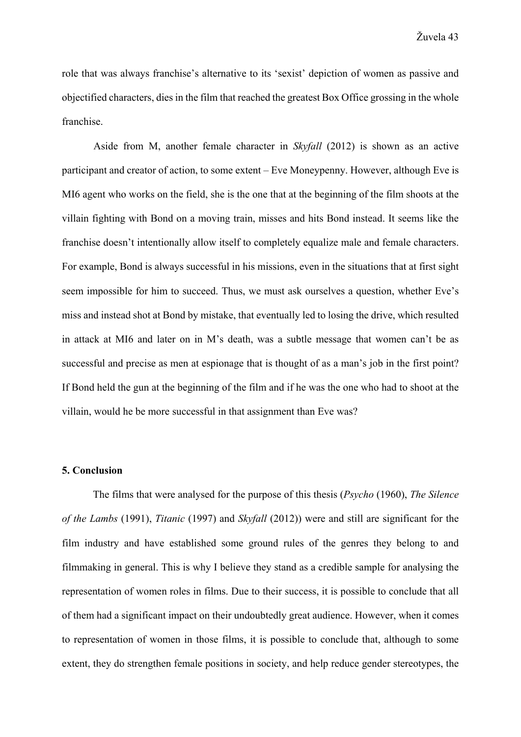role that was always franchise's alternative to its 'sexist' depiction of women as passive and objectified characters, dies in the film that reached the greatest Box Office grossing in the whole franchise.

Aside from M, another female character in *Skyfall* (2012) is shown as an active participant and creator of action, to some extent – Eve Moneypenny. However, although Eve is MI6 agent who works on the field, she is the one that at the beginning of the film shoots at the villain fighting with Bond on a moving train, misses and hits Bond instead. It seems like the franchise doesn't intentionally allow itself to completely equalize male and female characters. For example, Bond is always successful in his missions, even in the situations that at first sight seem impossible for him to succeed. Thus, we must ask ourselves a question, whether Eve's miss and instead shot at Bond by mistake, that eventually led to losing the drive, which resulted in attack at MI6 and later on in M's death, was a subtle message that women can't be as successful and precise as men at espionage that is thought of as a man's job in the first point? If Bond held the gun at the beginning of the film and if he was the one who had to shoot at the villain, would he be more successful in that assignment than Eve was?

#### **5. Conclusion**

The films that were analysed for the purpose of this thesis (*Psycho* (1960), *The Silence of the Lambs* (1991), *Titanic* (1997) and *Skyfall* (2012)) were and still are significant for the film industry and have established some ground rules of the genres they belong to and filmmaking in general. This is why I believe they stand as a credible sample for analysing the representation of women roles in films. Due to their success, it is possible to conclude that all of them had a significant impact on their undoubtedly great audience. However, when it comes to representation of women in those films, it is possible to conclude that, although to some extent, they do strengthen female positions in society, and help reduce gender stereotypes, the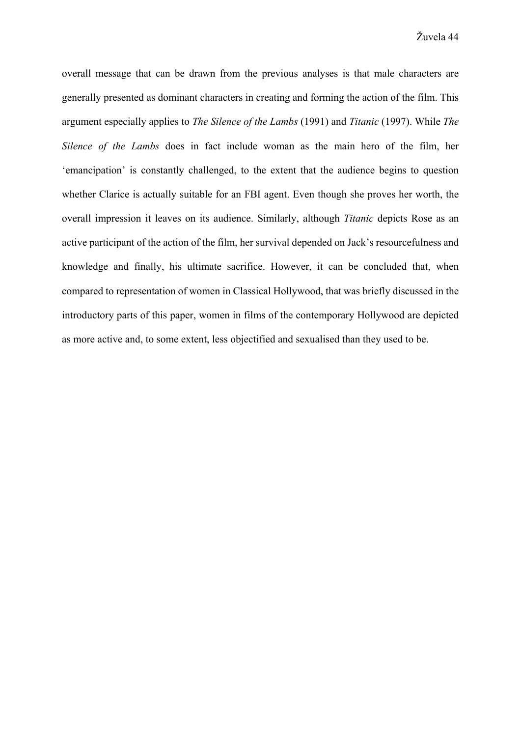overall message that can be drawn from the previous analyses is that male characters are generally presented as dominant characters in creating and forming the action of the film. This argument especially applies to *The Silence of the Lambs* (1991) and *Titanic* (1997). While *The Silence of the Lambs* does in fact include woman as the main hero of the film, her 'emancipation' is constantly challenged, to the extent that the audience begins to question whether Clarice is actually suitable for an FBI agent. Even though she proves her worth, the overall impression it leaves on its audience. Similarly, although *Titanic* depicts Rose as an active participant of the action of the film, her survival depended on Jack's resourcefulness and knowledge and finally, his ultimate sacrifice. However, it can be concluded that, when compared to representation of women in Classical Hollywood, that was briefly discussed in the introductory parts of this paper, women in films of the contemporary Hollywood are depicted as more active and, to some extent, less objectified and sexualised than they used to be.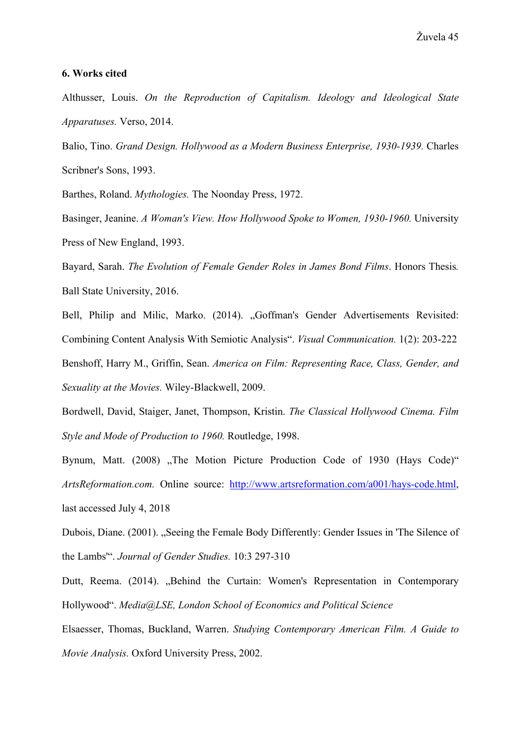#### **6. Works cited**

Althusser, Louis. *On the Reproduction of Capitalism. Ideology and Ideological State Apparatuses.* Verso, 2014.

Balio, Tino. *Grand Design. Hollywood as a Modern Business Enterprise, 1930-1939.* Charles Scribner's Sons, 1993.

Barthes, Roland. *Mythologies.* The Noonday Press, 1972.

Basinger, Jeanine. *A Woman's View. How Hollywood Spoke to Women, 1930-1960.* University Press of New England, 1993.

Bayard, Sarah. *The Evolution of Female Gender Roles in James Bond Films*. Honors Thesis*.*  Ball State University, 2016.

Bell, Philip and Milic, Marko. (2014). "Goffman's Gender Advertisements Revisited: Combining Content Analysis With Semiotic Analysis". *Visual Communication.* 1(2): 203-222 Benshoff, Harry M., Griffin, Sean. *America on Film: Representing Race, Class, Gender, and Sexuality at the Movies.* Wiley-Blackwell, 2009.

Bordwell, David, Staiger, Janet, Thompson, Kristin. *The Classical Hollywood Cinema. Film Style and Mode of Production to 1960.* Routledge, 1998.

Bynum, Matt. (2008) "The Motion Picture Production Code of 1930 (Hays Code)" *ArtsReformation.com.* Online source: http://www.artsreformation.com/a001/hays-code.html, last accessed July 4, 2018

Dubois, Diane. (2001). "Seeing the Female Body Differently: Gender Issues in 'The Silence of the Lambs'". *Journal of Gender Studies.* 10:3 297-310

Dutt, Reema. (2014). "Behind the Curtain: Women's Representation in Contemporary Hollywood". *Media@LSE, London School of Economics and Political Science* 

Elsaesser, Thomas, Buckland, Warren. *Studying Contemporary American Film. A Guide to Movie Analysis.* Oxford University Press, 2002.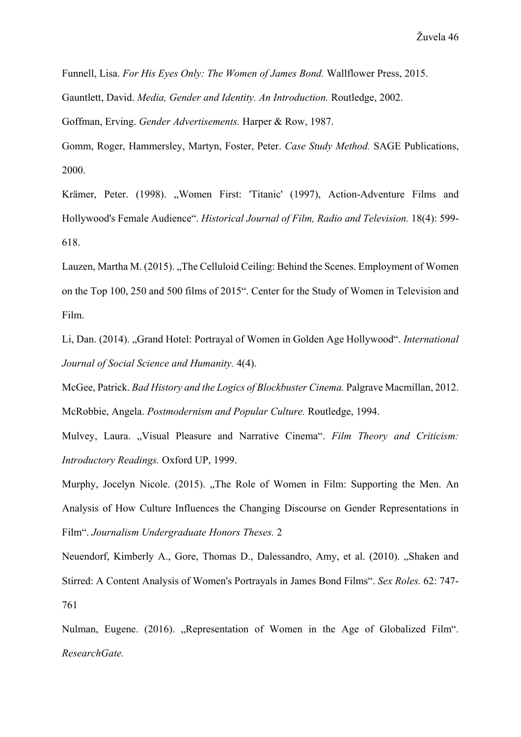Funnell, Lisa. *For His Eyes Only: The Women of James Bond.* Wallflower Press, 2015. Gauntlett, David. *Media, Gender and Identity. An Introduction.* Routledge, 2002.

Goffman, Erving. *Gender Advertisements.* Harper & Row, 1987.

Gomm, Roger, Hammersley, Martyn, Foster, Peter. *Case Study Method.* SAGE Publications, 2000.

Krämer, Peter. (1998). "Women First: 'Titanic' (1997), Action-Adventure Films and Hollywood's Female Audience". *Historical Journal of Film, Radio and Television.* 18(4): 599- 618.

Lauzen, Martha M. (2015). "The Celluloid Ceiling: Behind the Scenes. Employment of Women on the Top 100, 250 and 500 films of 2015". Center for the Study of Women in Television and Film.

Li, Dan. (2014). "Grand Hotel: Portrayal of Women in Golden Age Hollywood". *International Journal of Social Science and Humanity.* 4(4).

McGee, Patrick. *Bad History and the Logics of Blockbuster Cinema.* Palgrave Macmillan, 2012. McRobbie, Angela. *Postmodernism and Popular Culture.* Routledge, 1994.

Mulvey, Laura. "Visual Pleasure and Narrative Cinema". *Film Theory and Criticism: Introductory Readings.* Oxford UP, 1999.

Murphy, Jocelyn Nicole. (2015). "The Role of Women in Film: Supporting the Men. An Analysis of How Culture Influences the Changing Discourse on Gender Representations in Film". *Journalism Undergraduate Honors Theses.* 2

Neuendorf, Kimberly A., Gore, Thomas D., Dalessandro, Amy, et al. (2010). "Shaken and Stirred: A Content Analysis of Women's Portrayals in James Bond Films". *Sex Roles.* 62: 747- 761

Nulman, Eugene. (2016). "Representation of Women in the Age of Globalized Film". *ResearchGate.*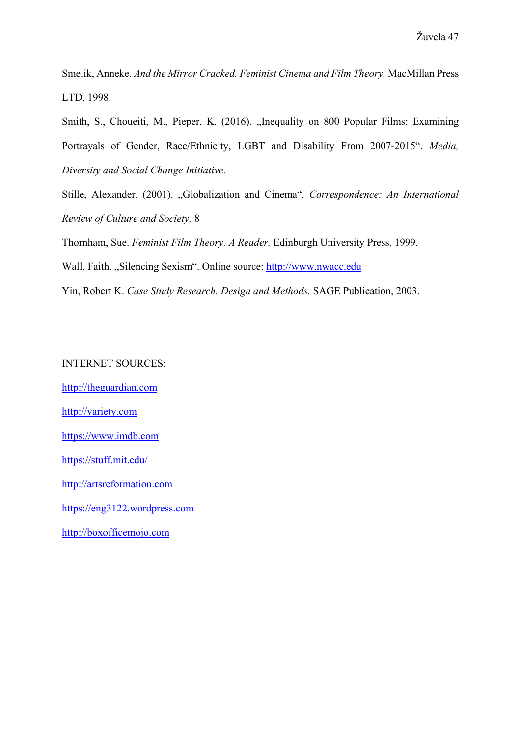Smelik, Anneke. *And the Mirror Cracked. Feminist Cinema and Film Theory.* MacMillan Press LTD, 1998.

Smith, S., Choueiti, M., Pieper, K. (2016). "Inequality on 800 Popular Films: Examining Portrayals of Gender, Race/Ethnicity, LGBT and Disability From 2007-2015". *Media, Diversity and Social Change Initiative.* 

Stille, Alexander. (2001). "Globalization and Cinema". *Correspondence: An International Review of Culture and Society.* 8

Thornham, Sue. *Feminist Film Theory. A Reader.* Edinburgh University Press, 1999.

Wall, Faith. "Silencing Sexism". Online source: http://www.nwacc.edu

Yin, Robert K. *Case Study Research. Design and Methods.* SAGE Publication, 2003.

#### INTERNET SOURCES:

http://theguardian.com http://variety.com https://www.imdb.com https://stuff.mit.edu/ http://artsreformation.com https://eng3122.wordpress.com http://boxofficemojo.com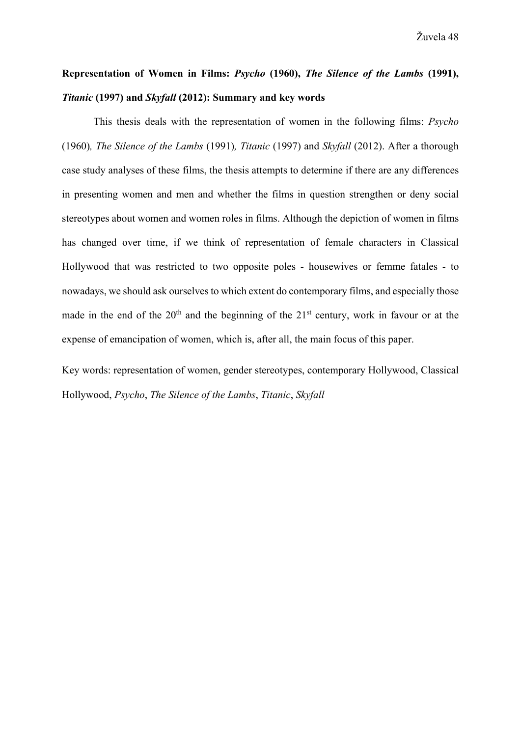## **Representation of Women in Films:** *Psycho* **(1960),** *The Silence of the Lambs* **(1991),**  *Titanic* **(1997) and** *Skyfall* **(2012): Summary and key words**

This thesis deals with the representation of women in the following films: *Psycho* (1960)*, The Silence of the Lambs* (1991)*, Titanic* (1997) and *Skyfall* (2012). After a thorough case study analyses of these films, the thesis attempts to determine if there are any differences in presenting women and men and whether the films in question strengthen or deny social stereotypes about women and women roles in films. Although the depiction of women in films has changed over time, if we think of representation of female characters in Classical Hollywood that was restricted to two opposite poles - housewives or femme fatales - to nowadays, we should ask ourselves to which extent do contemporary films, and especially those made in the end of the  $20<sup>th</sup>$  and the beginning of the  $21<sup>st</sup>$  century, work in favour or at the expense of emancipation of women, which is, after all, the main focus of this paper.

Key words: representation of women, gender stereotypes, contemporary Hollywood, Classical Hollywood, *Psycho*, *The Silence of the Lambs*, *Titanic*, *Skyfall*